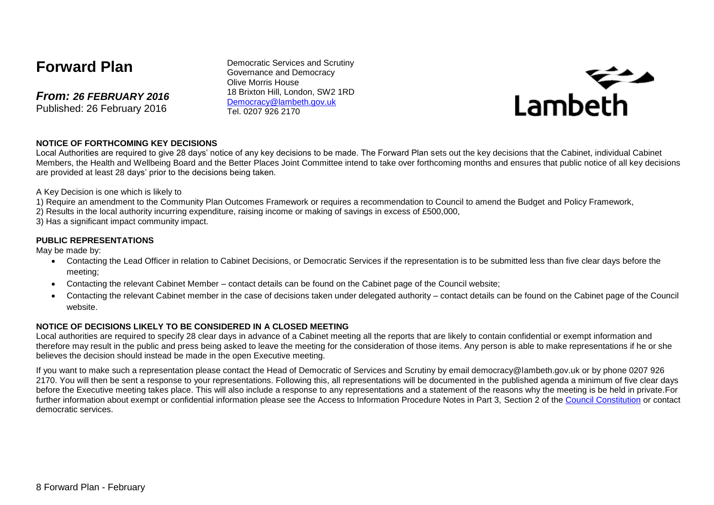# **Forward Plan**

*From: 26 FEBRUARY 2016* Published: 26 February 2016

Democratic Services and Scrutiny Governance and Democracy Olive Morris House 18 Brixton Hill, London, SW2 1RD [Democracy@lambeth.gov.uk](mailto:Democracy@lambeth.gov.uk) Tel. 0207 926 2170



#### **NOTICE OF FORTHCOMING KEY DECISIONS**

Local Authorities are required to give 28 days' notice of any key decisions to be made. The Forward Plan sets out the key decisions that the Cabinet, individual Cabinet Members, the Health and Wellbeing Board and the Better Places Joint Committee intend to take over forthcoming months and ensures that public notice of all key decisions are provided at least 28 days' prior to the decisions being taken.

A Key Decision is one which is likely to

- 1) Require an amendment to the Community Plan Outcomes Framework or requires a recommendation to Council to amend the Budget and Policy Framework,
- 2) Results in the local authority incurring expenditure, raising income or making of savings in excess of £500,000,
- 3) Has a significant impact community impact.

#### **PUBLIC REPRESENTATIONS**

May be made by:

- Contacting the Lead Officer in relation to Cabinet Decisions, or Democratic Services if the representation is to be submitted less than five clear days before the meeting;
- Contacting the relevant Cabinet Member contact details can be found on the Cabinet page of the Council website;
- Contacting the relevant Cabinet member in the case of decisions taken under delegated authority contact details can be found on the Cabinet page of the Council website.

#### **NOTICE OF DECISIONS LIKELY TO BE CONSIDERED IN A CLOSED MEETING**

Local authorities are required to specify 28 clear days in advance of a Cabinet meeting all the reports that are likely to contain confidential or exempt information and therefore may result in the public and press being asked to leave the meeting for the consideration of those items. Any person is able to make representations if he or she believes the decision should instead be made in the open Executive meeting.

If you want to make such a representation please contact the Head of Democratic of Services and Scrutiny by email democracy@lambeth.gov.uk or by phone 0207 926 2170. You will then be sent a response to your representations. Following this, all representations will be documented in the published agenda a minimum of five clear days before the Executive meeting takes place. This will also include a response to any representations and a statement of the reasons why the meeting is be held in private.For further information about exempt or confidential information please see the Access to Information Procedure Notes in Part 3, Section 2 of the [Council Constitution](http://www.lambeth.gov.uk/sites/default/files/ec-Council-Constitution-2014-15-approved-with-changes-November-2014.pdf) or contact democratic services.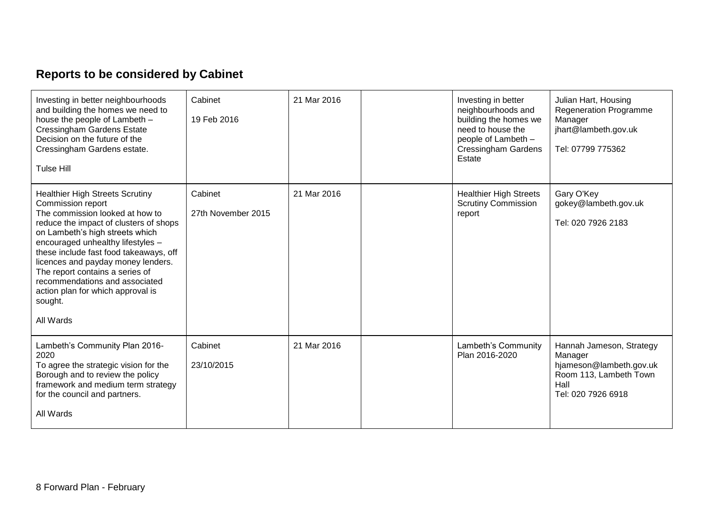# **Reports to be considered by Cabinet**

| Investing in better neighbourhoods<br>and building the homes we need to<br>house the people of Lambeth -<br><b>Cressingham Gardens Estate</b><br>Decision on the future of the<br>Cressingham Gardens estate.<br><b>Tulse Hill</b>                                                                                                                                                                                                 | Cabinet<br>19 Feb 2016        | 21 Mar 2016 | Investing in better<br>neighbourhoods and<br>building the homes we<br>need to house the<br>people of Lambeth -<br><b>Cressingham Gardens</b><br>Estate | Julian Hart, Housing<br><b>Regeneration Programme</b><br>Manager<br>jhart@lambeth.gov.uk<br>Tel: 07799 775362          |
|------------------------------------------------------------------------------------------------------------------------------------------------------------------------------------------------------------------------------------------------------------------------------------------------------------------------------------------------------------------------------------------------------------------------------------|-------------------------------|-------------|--------------------------------------------------------------------------------------------------------------------------------------------------------|------------------------------------------------------------------------------------------------------------------------|
| <b>Healthier High Streets Scrutiny</b><br>Commission report<br>The commission looked at how to<br>reduce the impact of clusters of shops<br>on Lambeth's high streets which<br>encouraged unhealthy lifestyles -<br>these include fast food takeaways, off<br>licences and payday money lenders.<br>The report contains a series of<br>recommendations and associated<br>action plan for which approval is<br>sought.<br>All Wards | Cabinet<br>27th November 2015 | 21 Mar 2016 | <b>Healthier High Streets</b><br><b>Scrutiny Commission</b><br>report                                                                                  | Gary O'Key<br>gokey@lambeth.gov.uk<br>Tel: 020 7926 2183                                                               |
| Lambeth's Community Plan 2016-<br>2020<br>To agree the strategic vision for the<br>Borough and to review the policy<br>framework and medium term strategy<br>for the council and partners.<br>All Wards                                                                                                                                                                                                                            | Cabinet<br>23/10/2015         | 21 Mar 2016 | Lambeth's Community<br>Plan 2016-2020                                                                                                                  | Hannah Jameson, Strategy<br>Manager<br>hjameson@lambeth.gov.uk<br>Room 113, Lambeth Town<br>Hall<br>Tel: 020 7926 6918 |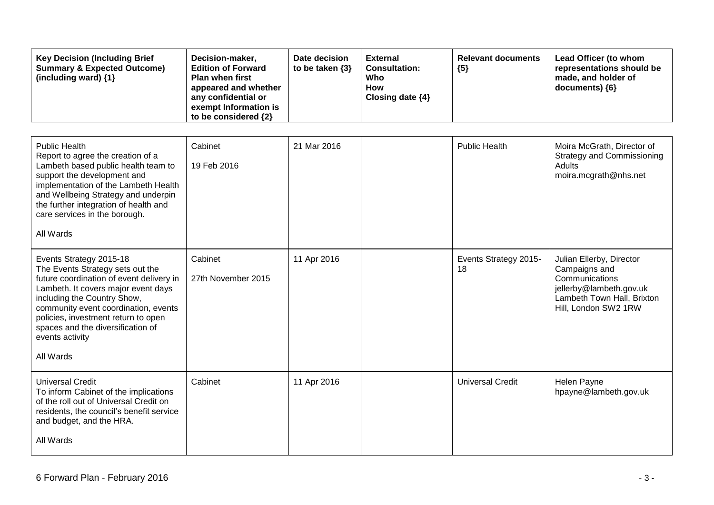| <b>Key Decision (Including Brief</b><br><b>Summary &amp; Expected Outcome)</b><br>(including ward) {1}                                                                                                                                                                                                                            | Decision-maker,<br><b>Edition of Forward</b><br>Plan when first<br>appeared and whether<br>any confidential or<br>exempt Information is<br>to be considered {2} | Date decision<br>to be taken {3} | <b>External</b><br><b>Consultation:</b><br>Who<br><b>How</b><br>Closing date {4} | <b>Relevant documents</b><br>${5}$ | Lead Officer (to whom<br>representations should be<br>made, and holder of<br>documents) {6}                                                  |
|-----------------------------------------------------------------------------------------------------------------------------------------------------------------------------------------------------------------------------------------------------------------------------------------------------------------------------------|-----------------------------------------------------------------------------------------------------------------------------------------------------------------|----------------------------------|----------------------------------------------------------------------------------|------------------------------------|----------------------------------------------------------------------------------------------------------------------------------------------|
| <b>Public Health</b><br>Report to agree the creation of a<br>Lambeth based public health team to<br>support the development and<br>implementation of the Lambeth Health<br>and Wellbeing Strategy and underpin<br>the further integration of health and<br>care services in the borough.<br>All Wards                             | Cabinet<br>19 Feb 2016                                                                                                                                          | 21 Mar 2016                      |                                                                                  | <b>Public Health</b>               | Moira McGrath, Director of<br><b>Strategy and Commissioning</b><br><b>Adults</b><br>moira.mcgrath@nhs.net                                    |
| Events Strategy 2015-18<br>The Events Strategy sets out the<br>future coordination of event delivery in<br>Lambeth. It covers major event days<br>including the Country Show,<br>community event coordination, events<br>policies, investment return to open<br>spaces and the diversification of<br>events activity<br>All Wards | Cabinet<br>27th November 2015                                                                                                                                   | 11 Apr 2016                      |                                                                                  | Events Strategy 2015-<br>18        | Julian Ellerby, Director<br>Campaigns and<br>Communications<br>jellerby@lambeth.gov.uk<br>Lambeth Town Hall, Brixton<br>Hill, London SW2 1RW |
| <b>Universal Credit</b><br>To inform Cabinet of the implications<br>of the roll out of Universal Credit on<br>residents, the council's benefit service<br>and budget, and the HRA.<br>All Wards                                                                                                                                   | Cabinet                                                                                                                                                         | 11 Apr 2016                      |                                                                                  | <b>Universal Credit</b>            | Helen Payne<br>hpayne@lambeth.gov.uk                                                                                                         |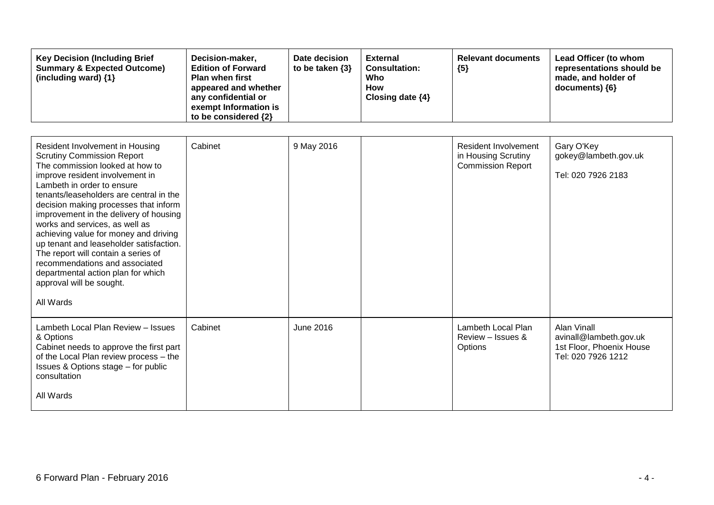| <b>Key Decision (Including Brief</b><br><b>Summary &amp; Expected Outcome)</b><br>(including ward) $\{1\}$ | Decision-maker,<br><b>Edition of Forward</b><br><b>Plan when first</b><br>appeared and whether<br>any confidential or<br>exempt Information is<br>to be considered $\{2\}$ | Date decision<br>to be taken $\{3\}$ | <b>External</b><br><b>Consultation:</b><br>Who<br>How<br>Closing date $\{4\}$ | <b>Relevant documents</b><br>${5}$ | Lead Officer (to whom<br>representations should be<br>made, and holder of<br>$documents)$ {6} |
|------------------------------------------------------------------------------------------------------------|----------------------------------------------------------------------------------------------------------------------------------------------------------------------------|--------------------------------------|-------------------------------------------------------------------------------|------------------------------------|-----------------------------------------------------------------------------------------------|
|------------------------------------------------------------------------------------------------------------|----------------------------------------------------------------------------------------------------------------------------------------------------------------------------|--------------------------------------|-------------------------------------------------------------------------------|------------------------------------|-----------------------------------------------------------------------------------------------|

| Resident Involvement in Housing<br><b>Scrutiny Commission Report</b><br>The commission looked at how to<br>improve resident involvement in<br>Lambeth in order to ensure<br>tenants/leaseholders are central in the<br>decision making processes that inform<br>improvement in the delivery of housing<br>works and services, as well as<br>achieving value for money and driving<br>up tenant and leaseholder satisfaction.<br>The report will contain a series of<br>recommendations and associated<br>departmental action plan for which<br>approval will be sought.<br>All Wards | Cabinet | 9 May 2016       | Resident Involvement<br>in Housing Scrutiny<br><b>Commission Report</b> | Gary O'Key<br>gokey@lambeth.gov.uk<br>Tel: 020 7926 2183                                |
|--------------------------------------------------------------------------------------------------------------------------------------------------------------------------------------------------------------------------------------------------------------------------------------------------------------------------------------------------------------------------------------------------------------------------------------------------------------------------------------------------------------------------------------------------------------------------------------|---------|------------------|-------------------------------------------------------------------------|-----------------------------------------------------------------------------------------|
| Lambeth Local Plan Review - Issues<br>& Options<br>Cabinet needs to approve the first part<br>of the Local Plan review process - the<br>Issues & Options stage - for public<br>consultation<br>All Wards                                                                                                                                                                                                                                                                                                                                                                             | Cabinet | <b>June 2016</b> | Lambeth Local Plan<br>Review - Issues &<br>Options                      | Alan Vinall<br>avinall@lambeth.gov.uk<br>1st Floor, Phoenix House<br>Tel: 020 7926 1212 |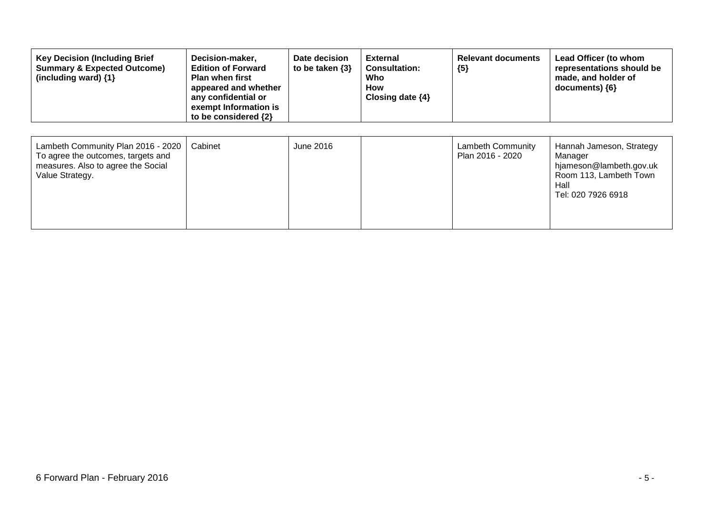| <b>Key Decision (Including Brief</b><br><b>Summary &amp; Expected Outcome)</b><br>(including ward) {1}                            | Decision-maker,<br><b>Edition of Forward</b><br><b>Plan when first</b><br>appeared and whether<br>any confidential or<br>exempt Information is<br>to be considered {2} | Date decision<br>to be taken $\{3\}$ | <b>External</b><br><b>Consultation:</b><br>Who<br>How<br>Closing date $\{4\}$ | <b>Relevant documents</b><br>${5}$           | Lead Officer (to whom<br>representations should be<br>made, and holder of<br>documents) {6}                            |
|-----------------------------------------------------------------------------------------------------------------------------------|------------------------------------------------------------------------------------------------------------------------------------------------------------------------|--------------------------------------|-------------------------------------------------------------------------------|----------------------------------------------|------------------------------------------------------------------------------------------------------------------------|
| Lambeth Community Plan 2016 - 2020<br>To agree the outcomes, targets and<br>measures. Also to agree the Social<br>Value Strategy. | Cabinet                                                                                                                                                                | June 2016                            |                                                                               | <b>Lambeth Community</b><br>Plan 2016 - 2020 | Hannah Jameson, Strategy<br>Manager<br>hjameson@lambeth.gov.uk<br>Room 113, Lambeth Town<br>Hall<br>Tel: 020 7926 6918 |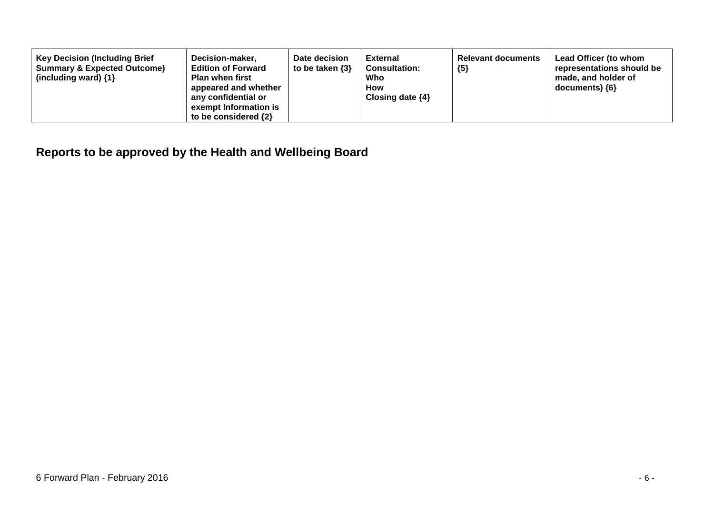| <b>Key Decision (Including Brief</b><br><b>Summary &amp; Expected Outcome)</b><br>(including ward) $\{1\}$ | Decision-maker,<br><b>Edition of Forward</b><br><b>Plan when first</b><br>appeared and whether<br>any confidential or<br>exempt Information is<br>to be considered $\{2\}$ | Date decision<br>to be taken $\{3\}$ | <b>External</b><br><b>Consultation:</b><br>Who<br><b>How</b><br>Closing date $\{4\}$ | <b>Relevant documents</b><br>${5}$ | Lead Officer (to whom<br>representations should be<br>made, and holder of<br>documents) ${6}$ |
|------------------------------------------------------------------------------------------------------------|----------------------------------------------------------------------------------------------------------------------------------------------------------------------------|--------------------------------------|--------------------------------------------------------------------------------------|------------------------------------|-----------------------------------------------------------------------------------------------|
|------------------------------------------------------------------------------------------------------------|----------------------------------------------------------------------------------------------------------------------------------------------------------------------------|--------------------------------------|--------------------------------------------------------------------------------------|------------------------------------|-----------------------------------------------------------------------------------------------|

**Reports to be approved by the Health and Wellbeing Board**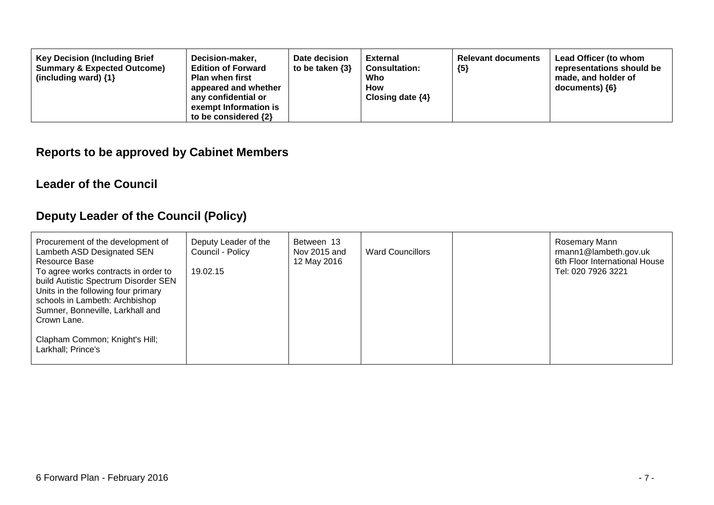| <b>Key Decision (Including Brief</b><br>Decision-maker,<br><b>Summary &amp; Expected Outcome)</b><br><b>Edition of Forward</b><br><b>Plan when first</b><br>(including ward) $\{1\}$<br>appeared and whether<br>any confidential or<br>exempt Information is<br>to be considered $\{2\}$ | Date decision<br>to be taken $\{3\}$ | <b>External</b><br><b>Consultation:</b><br>Who<br><b>How</b><br>Closing date $\{4\}$ | <b>Relevant documents</b><br>${5}$ | Lead Officer (to whom<br>representations should be<br>made, and holder of<br>documents) {6} |
|------------------------------------------------------------------------------------------------------------------------------------------------------------------------------------------------------------------------------------------------------------------------------------------|--------------------------------------|--------------------------------------------------------------------------------------|------------------------------------|---------------------------------------------------------------------------------------------|
|------------------------------------------------------------------------------------------------------------------------------------------------------------------------------------------------------------------------------------------------------------------------------------------|--------------------------------------|--------------------------------------------------------------------------------------|------------------------------------|---------------------------------------------------------------------------------------------|

### **Reports to be approved by Cabinet Members**

#### **Leader of the Council**

### **Deputy Leader of the Council (Policy)**

| Procurement of the development of<br>Lambeth ASD Designated SEN<br>Resource Base<br>To agree works contracts in order to<br>build Autistic Spectrum Disorder SEN<br>Units in the following four primary<br>schools in Lambeth: Archbishop<br>Sumner, Bonneville, Larkhall and | Deputy Leader of the<br>Council - Policy<br>19.02.15 | Between 13<br>Nov 2015 and<br>12 May 2016 | <b>Ward Councillors</b> | Rosemary Mann<br>rmann1@lambeth.gov.uk<br>6th Floor International House<br>Tel: 020 7926 3221 |
|-------------------------------------------------------------------------------------------------------------------------------------------------------------------------------------------------------------------------------------------------------------------------------|------------------------------------------------------|-------------------------------------------|-------------------------|-----------------------------------------------------------------------------------------------|
| Crown Lane.                                                                                                                                                                                                                                                                   |                                                      |                                           |                         |                                                                                               |
| Clapham Common; Knight's Hill;<br>Larkhall; Prince's                                                                                                                                                                                                                          |                                                      |                                           |                         |                                                                                               |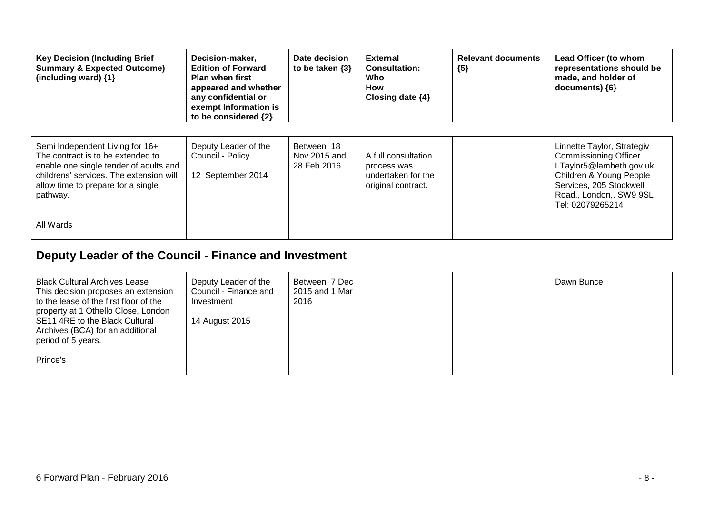| <b>Key Decision (Including Brief</b><br><b>Summary &amp; Expected Outcome)</b><br>(including ward) {1}                                                                                                      | Decision-maker,<br><b>Edition of Forward</b><br><b>Plan when first</b><br>appeared and whether<br>any confidential or<br>exempt Information is<br>to be considered {2} | Date decision<br>to be taken $\{3\}$      | <b>External</b><br><b>Consultation:</b><br>Who<br>How<br>Closing date $\{4\}$  | <b>Relevant documents</b><br>${5}$ | Lead Officer (to whom<br>representations should be<br>made, and holder of<br>$documents)$ {6}                                                                                              |
|-------------------------------------------------------------------------------------------------------------------------------------------------------------------------------------------------------------|------------------------------------------------------------------------------------------------------------------------------------------------------------------------|-------------------------------------------|--------------------------------------------------------------------------------|------------------------------------|--------------------------------------------------------------------------------------------------------------------------------------------------------------------------------------------|
| Semi Independent Living for 16+<br>The contract is to be extended to<br>enable one single tender of adults and<br>childrens' services. The extension will<br>allow time to prepare for a single<br>pathway. | Deputy Leader of the<br>Council - Policy<br>12 September 2014                                                                                                          | Between 18<br>Nov 2015 and<br>28 Feb 2016 | A full consultation<br>process was<br>undertaken for the<br>original contract. |                                    | Linnette Taylor, Strategiv<br><b>Commissioning Officer</b><br>LTaylor5@lambeth.gov.uk<br>Children & Young People<br>Services, 205 Stockwell<br>Road,, London,, SW9 9SL<br>Tel: 02079265214 |
| All Wards                                                                                                                                                                                                   |                                                                                                                                                                        |                                           |                                                                                |                                    |                                                                                                                                                                                            |

## **Deputy Leader of the Council - Finance and Investment**

| <b>Black Cultural Archives Lease</b><br>This decision proposes an extension<br>to the lease of the first floor of the<br>property at 1 Othello Close, London<br>SE11 4RE to the Black Cultural<br>Archives (BCA) for an additional<br>period of 5 years. | Deputy Leader of the<br>Council - Finance and<br>Investment<br>14 August 2015 | Between 7 Dec<br>2015 and 1 Mar<br>2016 |  | Dawn Bunce |
|----------------------------------------------------------------------------------------------------------------------------------------------------------------------------------------------------------------------------------------------------------|-------------------------------------------------------------------------------|-----------------------------------------|--|------------|
| Prince's                                                                                                                                                                                                                                                 |                                                                               |                                         |  |            |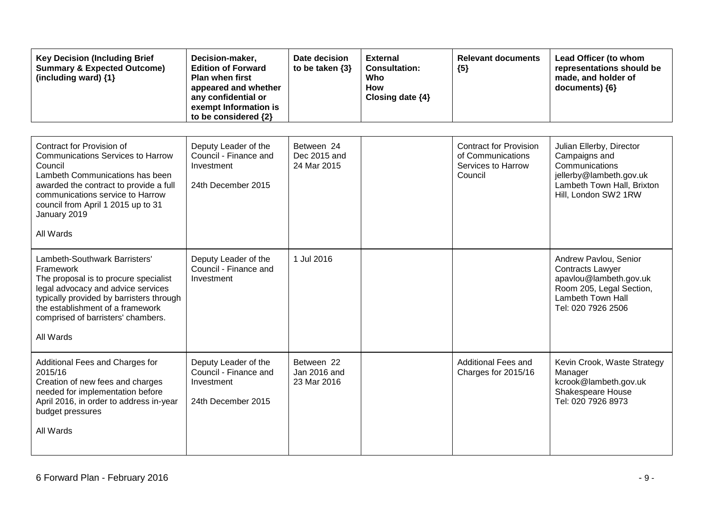| <b>Key Decision (Including Brief</b><br><b>Summary &amp; Expected Outcome)</b><br>(including ward) $\{1\}$                                                                                                                                                           | Decision-maker,<br><b>Edition of Forward</b><br><b>Plan when first</b><br>appeared and whether<br>any confidential or<br>exempt Information is<br>to be considered {2} | Date decision<br>to be taken $\{3\}$      | <b>External</b><br><b>Consultation:</b><br>Who<br>How<br>Closing date {4} | <b>Relevant documents</b><br>${5}$                                                  | Lead Officer (to whom<br>representations should be<br>made, and holder of<br>documents) {6}                                                       |
|----------------------------------------------------------------------------------------------------------------------------------------------------------------------------------------------------------------------------------------------------------------------|------------------------------------------------------------------------------------------------------------------------------------------------------------------------|-------------------------------------------|---------------------------------------------------------------------------|-------------------------------------------------------------------------------------|---------------------------------------------------------------------------------------------------------------------------------------------------|
| Contract for Provision of<br><b>Communications Services to Harrow</b><br>Council<br>Lambeth Communications has been<br>awarded the contract to provide a full<br>communications service to Harrow<br>council from April 1 2015 up to 31<br>January 2019<br>All Wards | Deputy Leader of the<br>Council - Finance and<br>Investment<br>24th December 2015                                                                                      | Between 24<br>Dec 2015 and<br>24 Mar 2015 |                                                                           | <b>Contract for Provision</b><br>of Communications<br>Services to Harrow<br>Council | Julian Ellerby, Director<br>Campaigns and<br>Communications<br>jellerby@lambeth.gov.uk<br>Lambeth Town Hall, Brixton<br>Hill, London SW2 1RW      |
| Lambeth-Southwark Barristers'<br>Framework<br>The proposal is to procure specialist<br>legal advocacy and advice services<br>typically provided by barristers through<br>the establishment of a framework<br>comprised of barristers' chambers.<br>All Wards         | Deputy Leader of the<br>Council - Finance and<br>Investment                                                                                                            | 1 Jul 2016                                |                                                                           |                                                                                     | Andrew Pavlou, Senior<br><b>Contracts Lawyer</b><br>apavlou@lambeth.gov.uk<br>Room 205, Legal Section,<br>Lambeth Town Hall<br>Tel: 020 7926 2506 |
| Additional Fees and Charges for<br>2015/16<br>Creation of new fees and charges<br>needed for implementation before<br>April 2016, in order to address in-year<br>budget pressures<br>All Wards                                                                       | Deputy Leader of the<br>Council - Finance and<br>Investment<br>24th December 2015                                                                                      | Between 22<br>Jan 2016 and<br>23 Mar 2016 |                                                                           | <b>Additional Fees and</b><br>Charges for 2015/16                                   | Kevin Crook, Waste Strategy<br>Manager<br>kcrook@lambeth.gov.uk<br>Shakespeare House<br>Tel: 020 7926 8973                                        |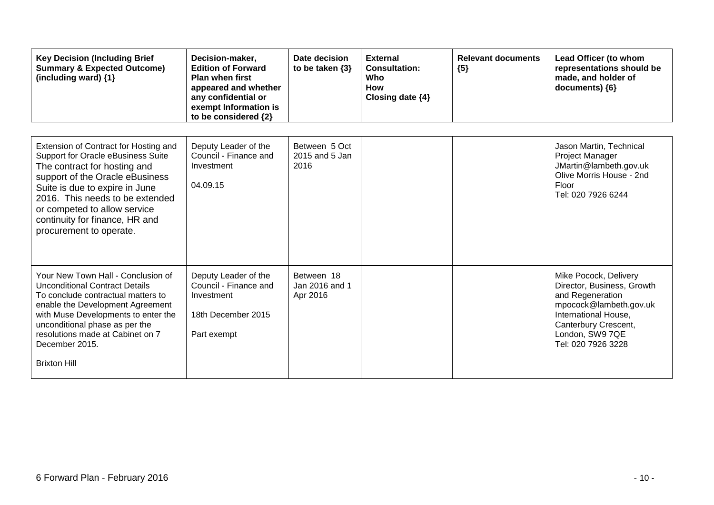| <b>Key Decision (Including Brief</b><br><b>Summary &amp; Expected Outcome)</b><br>(including ward) {1}                                                                                                                                                                                                           | Decision-maker,<br><b>Edition of Forward</b><br><b>Plan when first</b><br>appeared and whether<br>any confidential or<br>exempt Information is<br>to be considered {2} | Date decision<br>to be taken $\{3\}$     | <b>External</b><br><b>Consultation:</b><br>Who<br><b>How</b><br>Closing date {4} | <b>Relevant documents</b><br>${5}$ | Lead Officer (to whom<br>representations should be<br>made, and holder of<br>documents) {6}                                                                                                |
|------------------------------------------------------------------------------------------------------------------------------------------------------------------------------------------------------------------------------------------------------------------------------------------------------------------|------------------------------------------------------------------------------------------------------------------------------------------------------------------------|------------------------------------------|----------------------------------------------------------------------------------|------------------------------------|--------------------------------------------------------------------------------------------------------------------------------------------------------------------------------------------|
| Extension of Contract for Hosting and<br>Support for Oracle eBusiness Suite<br>The contract for hosting and<br>support of the Oracle eBusiness<br>Suite is due to expire in June<br>2016. This needs to be extended<br>or competed to allow service<br>continuity for finance, HR and<br>procurement to operate. | Deputy Leader of the<br>Council - Finance and<br>Investment<br>04.09.15                                                                                                | Between 5 Oct<br>2015 and 5 Jan<br>2016  |                                                                                  |                                    | Jason Martin, Technical<br>Project Manager<br>JMartin@lambeth.gov.uk<br>Olive Morris House - 2nd<br><b>Floor</b><br>Tel: 020 7926 6244                                                     |
| Your New Town Hall - Conclusion of<br><b>Unconditional Contract Details</b><br>To conclude contractual matters to<br>enable the Development Agreement<br>with Muse Developments to enter the<br>unconditional phase as per the<br>resolutions made at Cabinet on 7<br>December 2015.<br><b>Brixton Hill</b>      | Deputy Leader of the<br>Council - Finance and<br>Investment<br>18th December 2015<br>Part exempt                                                                       | Between 18<br>Jan 2016 and 1<br>Apr 2016 |                                                                                  |                                    | Mike Pocock, Delivery<br>Director, Business, Growth<br>and Regeneration<br>mpocock@lambeth.gov.uk<br>International House,<br>Canterbury Crescent,<br>London, SW9 7QE<br>Tel: 020 7926 3228 |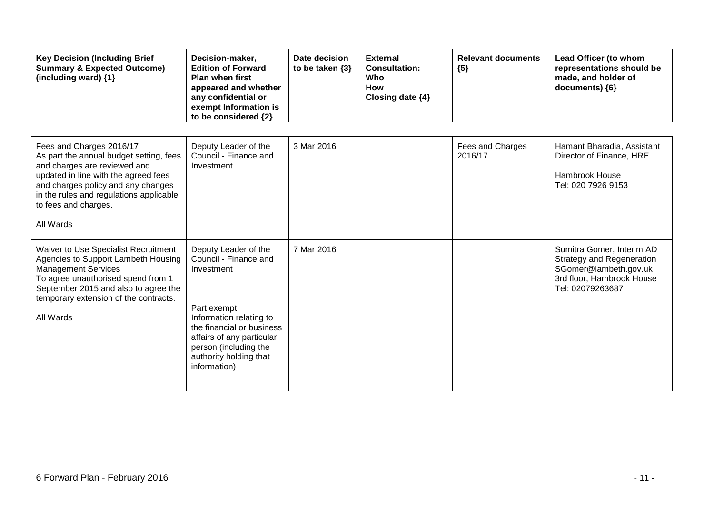| <b>Key Decision (Including Brief</b><br><b>Summary &amp; Expected Outcome)</b><br>(including ward) {1}                                                                                                                                                            | Decision-maker,<br><b>Edition of Forward</b><br><b>Plan when first</b><br>appeared and whether<br>any confidential or<br>exempt Information is<br>to be considered {2}                                                             | Date decision<br>to be taken $\{3\}$ | <b>External</b><br><b>Consultation:</b><br>Who<br><b>How</b><br>Closing date $\{4\}$ | <b>Relevant documents</b><br>${5}$ | Lead Officer (to whom<br>representations should be<br>made, and holder of<br>documents) {6}                                             |
|-------------------------------------------------------------------------------------------------------------------------------------------------------------------------------------------------------------------------------------------------------------------|------------------------------------------------------------------------------------------------------------------------------------------------------------------------------------------------------------------------------------|--------------------------------------|--------------------------------------------------------------------------------------|------------------------------------|-----------------------------------------------------------------------------------------------------------------------------------------|
| Fees and Charges 2016/17<br>As part the annual budget setting, fees<br>and charges are reviewed and<br>updated in line with the agreed fees<br>and charges policy and any changes<br>in the rules and regulations applicable<br>to fees and charges.<br>All Wards | Deputy Leader of the<br>Council - Finance and<br>Investment                                                                                                                                                                        | 3 Mar 2016                           |                                                                                      | Fees and Charges<br>2016/17        | Hamant Bharadia, Assistant<br>Director of Finance, HRE<br>Hambrook House<br>Tel: 020 7926 9153                                          |
| <b>Waiver to Use Specialist Recruitment</b><br>Agencies to Support Lambeth Housing<br><b>Management Services</b><br>To agree unauthorised spend from 1<br>September 2015 and also to agree the<br>temporary extension of the contracts.<br>All Wards              | Deputy Leader of the<br>Council - Finance and<br>Investment<br>Part exempt<br>Information relating to<br>the financial or business<br>affairs of any particular<br>person (including the<br>authority holding that<br>information) | 7 Mar 2016                           |                                                                                      |                                    | Sumitra Gomer, Interim AD<br><b>Strategy and Regeneration</b><br>SGomer@lambeth.gov.uk<br>3rd floor, Hambrook House<br>Tel: 02079263687 |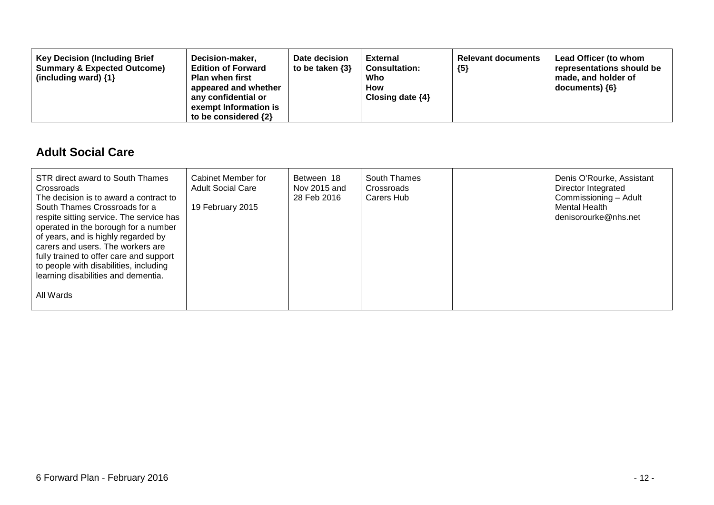| Decision-maker,<br><b>Key Decision (Including Brief</b><br><b>Summary &amp; Expected Outcome)</b><br><b>Edition of Forward</b><br><b>Plan when first</b><br>(including ward) $\{1\}$<br>appeared and whether<br>any confidential or<br>exempt Information is<br>to be considered $\{2\}$ | Date decision<br>to be taken $\{3\}$ | <b>External</b><br><b>Consultation:</b><br>Who<br>How<br>Closing date $\{4\}$ | <b>Relevant documents</b><br>${5}$ | Lead Officer (to whom<br>representations should be<br>made, and holder of<br>documents) ${6}$ |
|------------------------------------------------------------------------------------------------------------------------------------------------------------------------------------------------------------------------------------------------------------------------------------------|--------------------------------------|-------------------------------------------------------------------------------|------------------------------------|-----------------------------------------------------------------------------------------------|
|------------------------------------------------------------------------------------------------------------------------------------------------------------------------------------------------------------------------------------------------------------------------------------------|--------------------------------------|-------------------------------------------------------------------------------|------------------------------------|-----------------------------------------------------------------------------------------------|

#### **Adult Social Care**

| STR direct award to South Thames<br>Crossroads<br>The decision is to award a contract to<br>South Thames Crossroads for a<br>respite sitting service. The service has<br>operated in the borough for a number<br>of years, and is highly regarded by<br>carers and users. The workers are<br>fully trained to offer care and support<br>to people with disabilities, including<br>learning disabilities and dementia. | Cabinet Member for<br><b>Adult Social Care</b><br>19 February 2015 | Between 18<br>Nov 2015 and<br>28 Feb 2016 | South Thames<br>Crossroads<br>Carers Hub | Denis O'Rourke, Assistant<br>Director Integrated<br>Commissioning - Adult<br>Mental Health<br>denisorourke@nhs.net |
|-----------------------------------------------------------------------------------------------------------------------------------------------------------------------------------------------------------------------------------------------------------------------------------------------------------------------------------------------------------------------------------------------------------------------|--------------------------------------------------------------------|-------------------------------------------|------------------------------------------|--------------------------------------------------------------------------------------------------------------------|
| All Wards                                                                                                                                                                                                                                                                                                                                                                                                             |                                                                    |                                           |                                          |                                                                                                                    |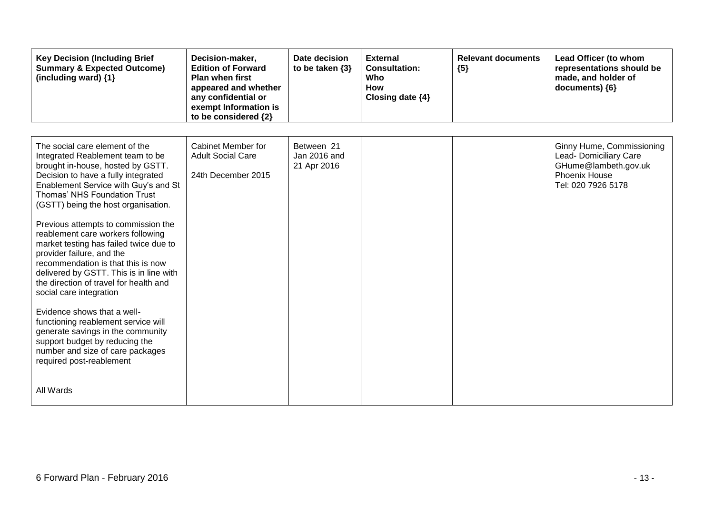| <b>Key Decision (Including Brief</b><br><b>Summary &amp; Expected Outcome)</b><br>(including ward) {1}                                                                                                                                                                                                                                                                                                                                                                                                                                                                                                                                                                                                                                                                                           | Decision-maker,<br><b>Edition of Forward</b><br><b>Plan when first</b><br>appeared and whether<br>any confidential or<br>exempt Information is<br>to be considered {2} | Date decision<br>to be taken $\{3\}$      | <b>External</b><br><b>Consultation:</b><br>Who<br><b>How</b><br>Closing date {4} | <b>Relevant documents</b><br>${5}$ | Lead Officer (to whom<br>representations should be<br>made, and holder of<br>documents) {6}                        |
|--------------------------------------------------------------------------------------------------------------------------------------------------------------------------------------------------------------------------------------------------------------------------------------------------------------------------------------------------------------------------------------------------------------------------------------------------------------------------------------------------------------------------------------------------------------------------------------------------------------------------------------------------------------------------------------------------------------------------------------------------------------------------------------------------|------------------------------------------------------------------------------------------------------------------------------------------------------------------------|-------------------------------------------|----------------------------------------------------------------------------------|------------------------------------|--------------------------------------------------------------------------------------------------------------------|
| The social care element of the<br>Integrated Reablement team to be<br>brought in-house, hosted by GSTT.<br>Decision to have a fully integrated<br>Enablement Service with Guy's and St<br>Thomas' NHS Foundation Trust<br>(GSTT) being the host organisation.<br>Previous attempts to commission the<br>reablement care workers following<br>market testing has failed twice due to<br>provider failure, and the<br>recommendation is that this is now<br>delivered by GSTT. This is in line with<br>the direction of travel for health and<br>social care integration<br>Evidence shows that a well-<br>functioning reablement service will<br>generate savings in the community<br>support budget by reducing the<br>number and size of care packages<br>required post-reablement<br>All Wards | Cabinet Member for<br><b>Adult Social Care</b><br>24th December 2015                                                                                                   | Between 21<br>Jan 2016 and<br>21 Apr 2016 |                                                                                  |                                    | Ginny Hume, Commissioning<br>Lead- Domiciliary Care<br>GHume@lambeth.gov.uk<br>Phoenix House<br>Tel: 020 7926 5178 |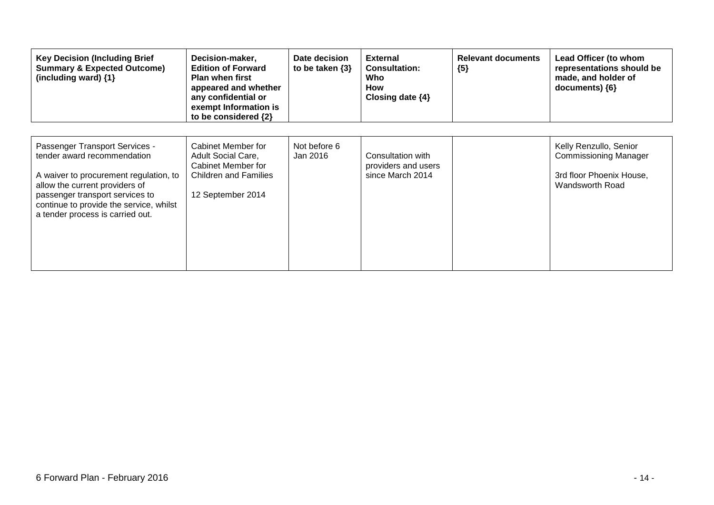| <b>Key Decision (Including Brief</b><br><b>Summary &amp; Expected Outcome)</b><br>(including ward) $\{1\}$                                                                                                                                                  | Decision-maker,<br><b>Edition of Forward</b><br><b>Plan when first</b><br>appeared and whether<br>any confidential or<br>exempt Information is<br>to be considered {2} | Date decision<br>to be taken $\{3\}$ | <b>External</b><br><b>Consultation:</b><br>Who<br>How<br>Closing date $\{4\}$ | <b>Relevant documents</b><br>${5}$ | Lead Officer (to whom<br>representations should be<br>made, and holder of<br>documents) ${6}$         |
|-------------------------------------------------------------------------------------------------------------------------------------------------------------------------------------------------------------------------------------------------------------|------------------------------------------------------------------------------------------------------------------------------------------------------------------------|--------------------------------------|-------------------------------------------------------------------------------|------------------------------------|-------------------------------------------------------------------------------------------------------|
| Passenger Transport Services -<br>tender award recommendation<br>A waiver to procurement regulation, to<br>allow the current providers of<br>passenger transport services to<br>continue to provide the service, whilst<br>a tender process is carried out. | Cabinet Member for<br><b>Adult Social Care,</b><br>Cabinet Member for<br><b>Children and Families</b><br>12 September 2014                                             | Not before 6<br>Jan 2016             | Consultation with<br>providers and users<br>since March 2014                  |                                    | Kelly Renzullo, Senior<br><b>Commissioning Manager</b><br>3rd floor Phoenix House,<br>Wandsworth Road |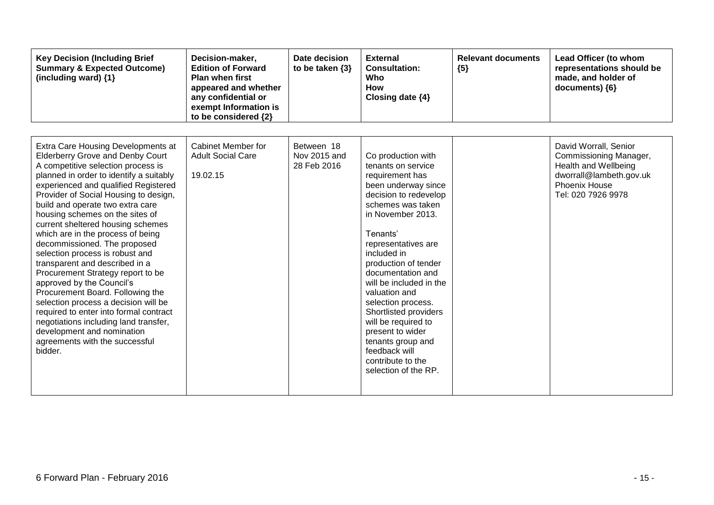| <b>Key Decision (Including Brief</b><br><b>Summary &amp; Expected Outcome)</b><br>(including ward) {1}                                                                                                                                                                                                                                                                                                                                                                                                                                                                                                                                                                                                                                                                                                            | Decision-maker,<br><b>Edition of Forward</b><br><b>Plan when first</b><br>appeared and whether<br>any confidential or<br>exempt Information is<br>to be considered {2} | Date decision<br>to be taken $\{3\}$      | <b>External</b><br><b>Consultation:</b><br>Who<br><b>How</b><br>Closing date {4}                                                                                                                                                                                                                                                                                                                                                                                              | <b>Relevant documents</b><br>${5}$ | Lead Officer (to whom<br>representations should be<br>made, and holder of<br>documents) ${6}$                                             |
|-------------------------------------------------------------------------------------------------------------------------------------------------------------------------------------------------------------------------------------------------------------------------------------------------------------------------------------------------------------------------------------------------------------------------------------------------------------------------------------------------------------------------------------------------------------------------------------------------------------------------------------------------------------------------------------------------------------------------------------------------------------------------------------------------------------------|------------------------------------------------------------------------------------------------------------------------------------------------------------------------|-------------------------------------------|-------------------------------------------------------------------------------------------------------------------------------------------------------------------------------------------------------------------------------------------------------------------------------------------------------------------------------------------------------------------------------------------------------------------------------------------------------------------------------|------------------------------------|-------------------------------------------------------------------------------------------------------------------------------------------|
| Extra Care Housing Developments at<br><b>Elderberry Grove and Denby Court</b><br>A competitive selection process is<br>planned in order to identify a suitably<br>experienced and qualified Registered<br>Provider of Social Housing to design,<br>build and operate two extra care<br>housing schemes on the sites of<br>current sheltered housing schemes<br>which are in the process of being<br>decommissioned. The proposed<br>selection process is robust and<br>transparent and described in a<br>Procurement Strategy report to be<br>approved by the Council's<br>Procurement Board. Following the<br>selection process a decision will be<br>required to enter into formal contract<br>negotiations including land transfer,<br>development and nomination<br>agreements with the successful<br>bidder. | Cabinet Member for<br><b>Adult Social Care</b><br>19.02.15                                                                                                             | Between 18<br>Nov 2015 and<br>28 Feb 2016 | Co production with<br>tenants on service<br>requirement has<br>been underway since<br>decision to redevelop<br>schemes was taken<br>in November 2013.<br>Tenants'<br>representatives are<br>included in<br>production of tender<br>documentation and<br>will be included in the<br>valuation and<br>selection process.<br>Shortlisted providers<br>will be required to<br>present to wider<br>tenants group and<br>feedback will<br>contribute to the<br>selection of the RP. |                                    | David Worrall, Senior<br>Commissioning Manager,<br>Health and Wellbeing<br>dworrall@lambeth.gov.uk<br>Phoenix House<br>Tel: 020 7926 9978 |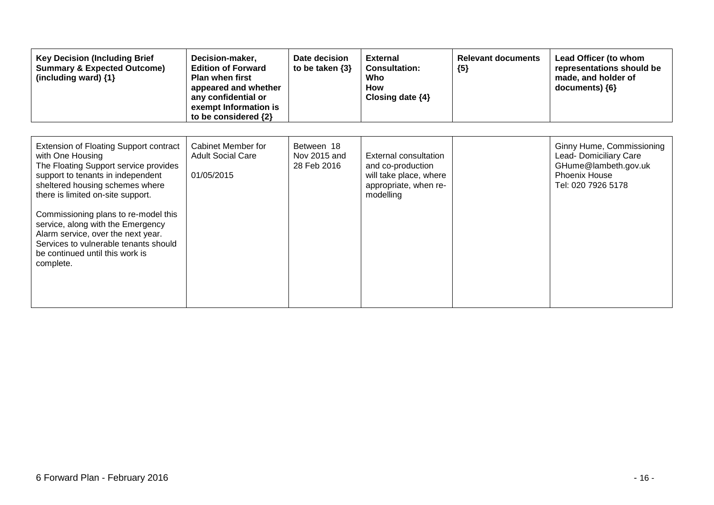| <b>Key Decision (Including Brief</b><br><b>Summary &amp; Expected Outcome)</b><br>(including ward) {1}                                                                                                                                                                                                                                                                                                                       | Decision-maker,<br><b>Edition of Forward</b><br>Plan when first<br>appeared and whether<br>any confidential or<br>exempt Information is<br>to be considered {2} | Date decision<br>to be taken $\{3\}$      | <b>External</b><br><b>Consultation:</b><br>Who<br>How<br>Closing date $\{4\}$                                     | <b>Relevant documents</b><br>${5}$ | Lead Officer (to whom<br>representations should be<br>made, and holder of<br>documents) $\{6\}$                    |
|------------------------------------------------------------------------------------------------------------------------------------------------------------------------------------------------------------------------------------------------------------------------------------------------------------------------------------------------------------------------------------------------------------------------------|-----------------------------------------------------------------------------------------------------------------------------------------------------------------|-------------------------------------------|-------------------------------------------------------------------------------------------------------------------|------------------------------------|--------------------------------------------------------------------------------------------------------------------|
| Extension of Floating Support contract<br>with One Housing<br>The Floating Support service provides<br>support to tenants in independent<br>sheltered housing schemes where<br>there is limited on-site support.<br>Commissioning plans to re-model this<br>service, along with the Emergency<br>Alarm service, over the next year.<br>Services to vulnerable tenants should<br>be continued until this work is<br>complete. | Cabinet Member for<br><b>Adult Social Care</b><br>01/05/2015                                                                                                    | Between 18<br>Nov 2015 and<br>28 Feb 2016 | <b>External consultation</b><br>and co-production<br>will take place, where<br>appropriate, when re-<br>modelling |                                    | Ginny Hume, Commissioning<br>Lead- Domiciliary Care<br>GHume@lambeth.gov.uk<br>Phoenix House<br>Tel: 020 7926 5178 |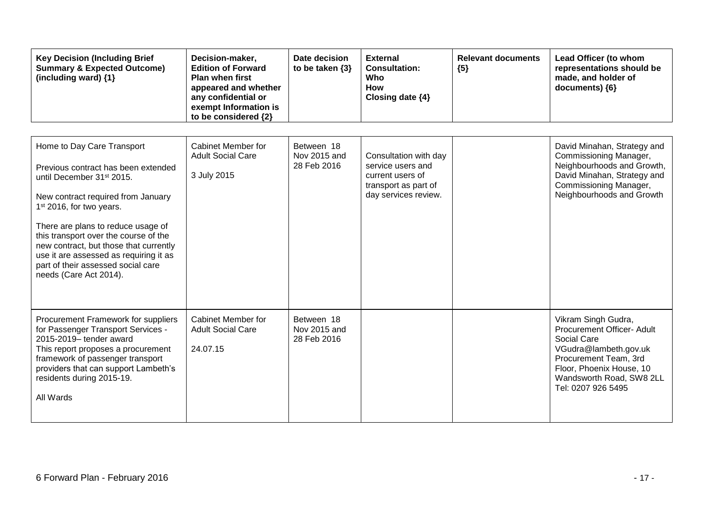| <b>Key Decision (Including Brief</b><br><b>Summary &amp; Expected Outcome)</b><br>(including ward) {1}                                                                                                                                                                                                                                                                                                                      | Decision-maker,<br><b>Edition of Forward</b><br><b>Plan when first</b><br>appeared and whether<br>any confidential or<br>exempt Information is<br>to be considered {2} | Date decision<br>to be taken $\{3\}$      | <b>External</b><br><b>Consultation:</b><br>Who<br><b>How</b><br>Closing date $\{4\}$                           | <b>Relevant documents</b><br>${5}$ | Lead Officer (to whom<br>representations should be<br>made, and holder of<br>documents) {6}                                                                                                      |
|-----------------------------------------------------------------------------------------------------------------------------------------------------------------------------------------------------------------------------------------------------------------------------------------------------------------------------------------------------------------------------------------------------------------------------|------------------------------------------------------------------------------------------------------------------------------------------------------------------------|-------------------------------------------|----------------------------------------------------------------------------------------------------------------|------------------------------------|--------------------------------------------------------------------------------------------------------------------------------------------------------------------------------------------------|
| Home to Day Care Transport<br>Previous contract has been extended<br>until December 31 <sup>st</sup> 2015.<br>New contract required from January<br>1 <sup>st</sup> 2016, for two years.<br>There are plans to reduce usage of<br>this transport over the course of the<br>new contract, but those that currently<br>use it are assessed as requiring it as<br>part of their assessed social care<br>needs (Care Act 2014). | Cabinet Member for<br><b>Adult Social Care</b><br>3 July 2015                                                                                                          | Between 18<br>Nov 2015 and<br>28 Feb 2016 | Consultation with day<br>service users and<br>current users of<br>transport as part of<br>day services review. |                                    | David Minahan, Strategy and<br>Commissioning Manager,<br>Neighbourhoods and Growth,<br>David Minahan, Strategy and<br>Commissioning Manager,<br>Neighbourhoods and Growth                        |
| Procurement Framework for suppliers<br>for Passenger Transport Services -<br>2015-2019- tender award<br>This report proposes a procurement<br>framework of passenger transport<br>providers that can support Lambeth's<br>residents during 2015-19.<br>All Wards                                                                                                                                                            | Cabinet Member for<br><b>Adult Social Care</b><br>24.07.15                                                                                                             | Between 18<br>Nov 2015 and<br>28 Feb 2016 |                                                                                                                |                                    | Vikram Singh Gudra,<br>Procurement Officer- Adult<br>Social Care<br>VGudra@lambeth.gov.uk<br>Procurement Team, 3rd<br>Floor, Phoenix House, 10<br>Wandsworth Road, SW8 2LL<br>Tel: 0207 926 5495 |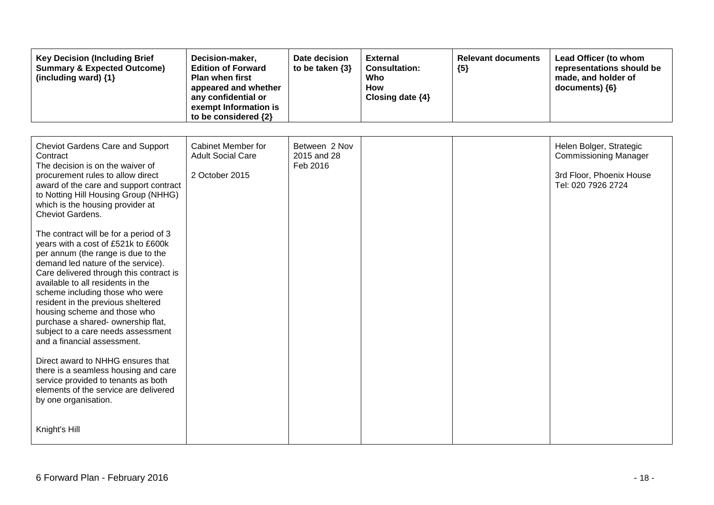| <b>Key Decision (Including Brief</b><br><b>Summary &amp; Expected Outcome)</b><br>(including ward) {1}                                                                                                                                                                                                                                                                                                                                                                                                                                                                                                                                                                                                                                                                                                                                                                                                                       | Decision-maker,<br><b>Edition of Forward</b><br>Plan when first<br>appeared and whether<br>any confidential or<br>exempt Information is<br>to be considered {2} | Date decision<br>to be taken $\{3\}$     | <b>External</b><br><b>Consultation:</b><br>Who<br><b>How</b><br>Closing date {4} | <b>Relevant documents</b><br>${5}$ | Lead Officer (to whom<br>representations should be<br>made, and holder of<br>documents) {6}               |
|------------------------------------------------------------------------------------------------------------------------------------------------------------------------------------------------------------------------------------------------------------------------------------------------------------------------------------------------------------------------------------------------------------------------------------------------------------------------------------------------------------------------------------------------------------------------------------------------------------------------------------------------------------------------------------------------------------------------------------------------------------------------------------------------------------------------------------------------------------------------------------------------------------------------------|-----------------------------------------------------------------------------------------------------------------------------------------------------------------|------------------------------------------|----------------------------------------------------------------------------------|------------------------------------|-----------------------------------------------------------------------------------------------------------|
| <b>Cheviot Gardens Care and Support</b><br>Contract<br>The decision is on the waiver of<br>procurement rules to allow direct<br>award of the care and support contract<br>to Notting Hill Housing Group (NHHG)<br>which is the housing provider at<br>Cheviot Gardens.<br>The contract will be for a period of 3<br>years with a cost of £521k to £600k<br>per annum (the range is due to the<br>demand led nature of the service).<br>Care delivered through this contract is<br>available to all residents in the<br>scheme including those who were<br>resident in the previous sheltered<br>housing scheme and those who<br>purchase a shared- ownership flat,<br>subject to a care needs assessment<br>and a financial assessment.<br>Direct award to NHHG ensures that<br>there is a seamless housing and care<br>service provided to tenants as both<br>elements of the service are delivered<br>by one organisation. | Cabinet Member for<br><b>Adult Social Care</b><br>2 October 2015                                                                                                | Between 2 Nov<br>2015 and 28<br>Feb 2016 |                                                                                  |                                    | Helen Bolger, Strategic<br><b>Commissioning Manager</b><br>3rd Floor, Phoenix House<br>Tel: 020 7926 2724 |
| Knight's Hill                                                                                                                                                                                                                                                                                                                                                                                                                                                                                                                                                                                                                                                                                                                                                                                                                                                                                                                |                                                                                                                                                                 |                                          |                                                                                  |                                    |                                                                                                           |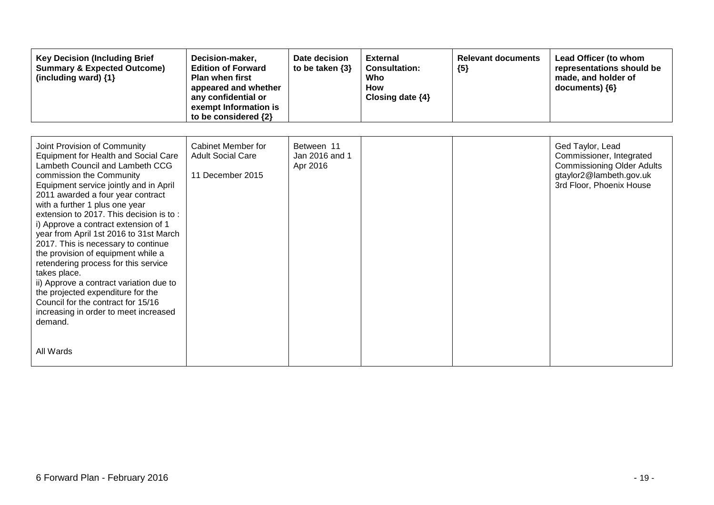| <b>Key Decision (Including Brief</b><br><b>Summary &amp; Expected Outcome)</b><br>(including ward) $\{1\}$                                                                                                                                                                                                                                                                                                                                                                                                                                                                                                                                                                                                           | Decision-maker,<br><b>Edition of Forward</b><br><b>Plan when first</b><br>appeared and whether<br>any confidential or<br>exempt Information is<br>to be considered {2} | Date decision<br>to be taken $\{3\}$     | <b>External</b><br><b>Consultation:</b><br>Who<br><b>How</b><br>Closing date {4} | <b>Relevant documents</b><br>${5}$ | Lead Officer (to whom<br>representations should be<br>made, and holder of<br>documents) ${6}$                                            |
|----------------------------------------------------------------------------------------------------------------------------------------------------------------------------------------------------------------------------------------------------------------------------------------------------------------------------------------------------------------------------------------------------------------------------------------------------------------------------------------------------------------------------------------------------------------------------------------------------------------------------------------------------------------------------------------------------------------------|------------------------------------------------------------------------------------------------------------------------------------------------------------------------|------------------------------------------|----------------------------------------------------------------------------------|------------------------------------|------------------------------------------------------------------------------------------------------------------------------------------|
| Joint Provision of Community<br><b>Equipment for Health and Social Care</b><br>Lambeth Council and Lambeth CCG<br>commission the Community<br>Equipment service jointly and in April<br>2011 awarded a four year contract<br>with a further 1 plus one year<br>extension to 2017. This decision is to:<br>i) Approve a contract extension of 1<br>year from April 1st 2016 to 31st March<br>2017. This is necessary to continue<br>the provision of equipment while a<br>retendering process for this service<br>takes place.<br>ii) Approve a contract variation due to<br>the projected expenditure for the<br>Council for the contract for 15/16<br>increasing in order to meet increased<br>demand.<br>All Wards | Cabinet Member for<br><b>Adult Social Care</b><br>11 December 2015                                                                                                     | Between 11<br>Jan 2016 and 1<br>Apr 2016 |                                                                                  |                                    | Ged Taylor, Lead<br>Commissioner, Integrated<br><b>Commissioning Older Adults</b><br>gtaylor2@lambeth.gov.uk<br>3rd Floor, Phoenix House |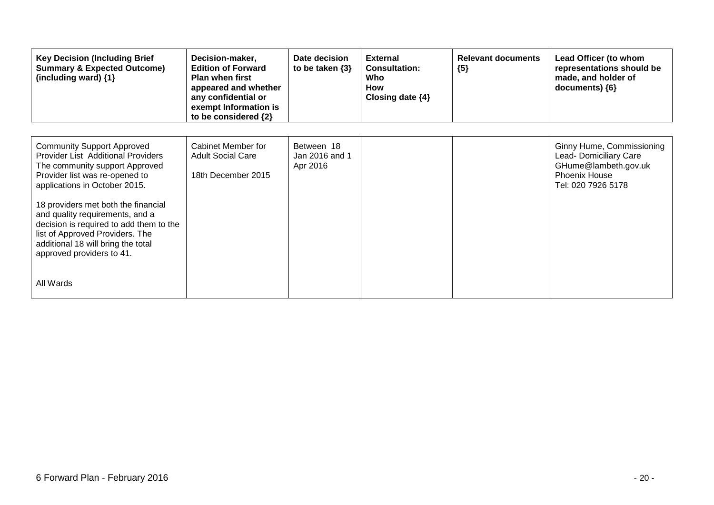| <b>Key Decision (Including Brief</b><br><b>Summary &amp; Expected Outcome)</b><br>(including ward) {1}                                                                                                                                                                                                                                                                                                                      | Decision-maker,<br><b>Edition of Forward</b><br><b>Plan when first</b><br>appeared and whether<br>any confidential or<br>exempt Information is<br>to be considered {2} | Date decision<br>to be taken $\{3\}$     | <b>External</b><br><b>Consultation:</b><br>Who<br><b>How</b><br>Closing date $\{4\}$ | <b>Relevant documents</b><br>${5}$ | Lead Officer (to whom<br>representations should be<br>made, and holder of<br>documents) {6}                               |
|-----------------------------------------------------------------------------------------------------------------------------------------------------------------------------------------------------------------------------------------------------------------------------------------------------------------------------------------------------------------------------------------------------------------------------|------------------------------------------------------------------------------------------------------------------------------------------------------------------------|------------------------------------------|--------------------------------------------------------------------------------------|------------------------------------|---------------------------------------------------------------------------------------------------------------------------|
| <b>Community Support Approved</b><br><b>Provider List Additional Providers</b><br>The community support Approved<br>Provider list was re-opened to<br>applications in October 2015.<br>18 providers met both the financial<br>and quality requirements, and a<br>decision is required to add them to the<br>list of Approved Providers. The<br>additional 18 will bring the total<br>approved providers to 41.<br>All Wards | Cabinet Member for<br><b>Adult Social Care</b><br>18th December 2015                                                                                                   | Between 18<br>Jan 2016 and 1<br>Apr 2016 |                                                                                      |                                    | Ginny Hume, Commissioning<br>Lead- Domiciliary Care<br>GHume@lambeth.gov.uk<br><b>Phoenix House</b><br>Tel: 020 7926 5178 |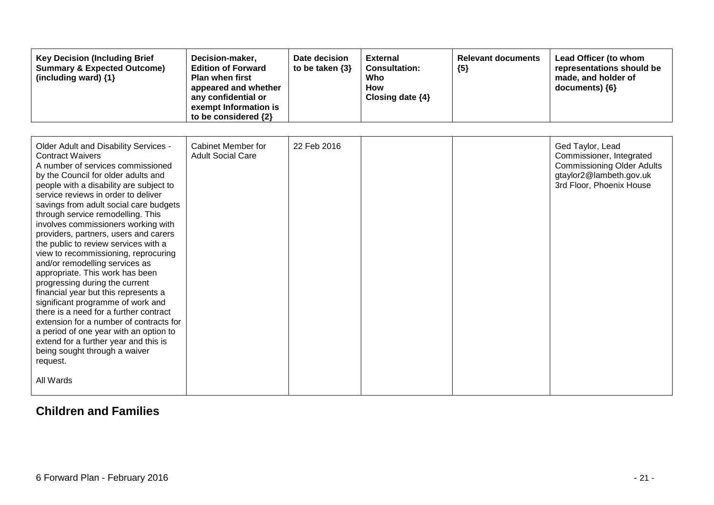| <b>Key Decision (Including Brief</b><br><b>Summary &amp; Expected Outcome)</b><br>(including ward) {1}                                                                                                                                                                                                                                                                                                                                                                                                                                                                                                                                                                                                                                                                                                                                                                                              | Decision-maker,<br><b>Edition of Forward</b><br><b>Plan when first</b><br>appeared and whether<br>any confidential or<br>exempt Information is<br>to be considered {2} | Date decision<br>to be taken $\{3\}$ | <b>External</b><br><b>Consultation:</b><br>Who<br><b>How</b><br>Closing date {4} | <b>Relevant documents</b><br>${5}$ | Lead Officer (to whom<br>representations should be<br>made, and holder of<br>documents) {6}                                              |
|-----------------------------------------------------------------------------------------------------------------------------------------------------------------------------------------------------------------------------------------------------------------------------------------------------------------------------------------------------------------------------------------------------------------------------------------------------------------------------------------------------------------------------------------------------------------------------------------------------------------------------------------------------------------------------------------------------------------------------------------------------------------------------------------------------------------------------------------------------------------------------------------------------|------------------------------------------------------------------------------------------------------------------------------------------------------------------------|--------------------------------------|----------------------------------------------------------------------------------|------------------------------------|------------------------------------------------------------------------------------------------------------------------------------------|
| Older Adult and Disability Services -<br><b>Contract Waivers</b><br>A number of services commissioned<br>by the Council for older adults and<br>people with a disability are subject to<br>service reviews in order to deliver<br>savings from adult social care budgets<br>through service remodelling. This<br>involves commissioners working with<br>providers, partners, users and carers<br>the public to review services with a<br>view to recommissioning, reprocuring<br>and/or remodelling services as<br>appropriate. This work has been<br>progressing during the current<br>financial year but this represents a<br>significant programme of work and<br>there is a need for a further contract<br>extension for a number of contracts for<br>a period of one year with an option to<br>extend for a further year and this is<br>being sought through a waiver<br>request.<br>All Wards | Cabinet Member for<br><b>Adult Social Care</b>                                                                                                                         | 22 Feb 2016                          |                                                                                  |                                    | Ged Taylor, Lead<br>Commissioner, Integrated<br><b>Commissioning Older Adults</b><br>gtaylor2@lambeth.gov.uk<br>3rd Floor, Phoenix House |

### **Children and Families**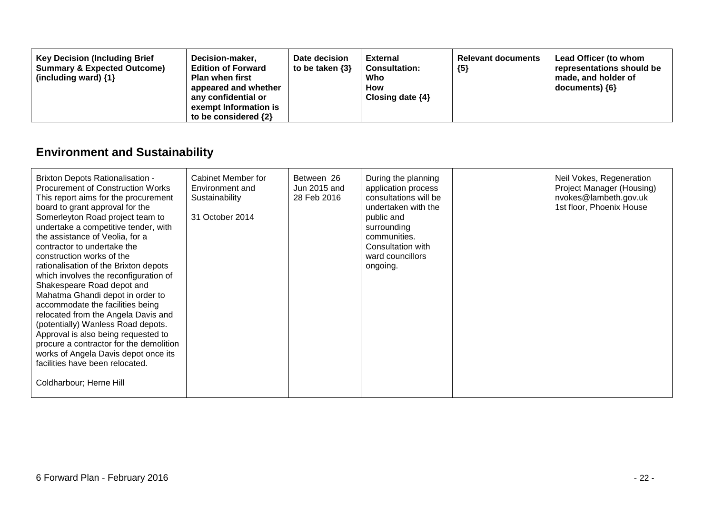| <b>Key Decision (Including Brief</b><br>Decision-maker,<br><b>Summary &amp; Expected Outcome)</b><br><b>Edition of Forward</b><br><b>Plan when first</b><br>(including ward) $\{1\}$<br>appeared and whether<br>any confidential or<br>exempt Information is<br>to be considered $\{2\}$ | Date decision<br>to be taken $\{3\}$ | External<br><b>Consultation:</b><br>Who<br><b>How</b><br>Closing date $\{4\}$ | <b>Relevant documents</b><br>${5}$ | Lead Officer (to whom<br>representations should be<br>made, and holder of<br>$documents)$ {6} |
|------------------------------------------------------------------------------------------------------------------------------------------------------------------------------------------------------------------------------------------------------------------------------------------|--------------------------------------|-------------------------------------------------------------------------------|------------------------------------|-----------------------------------------------------------------------------------------------|
|------------------------------------------------------------------------------------------------------------------------------------------------------------------------------------------------------------------------------------------------------------------------------------------|--------------------------------------|-------------------------------------------------------------------------------|------------------------------------|-----------------------------------------------------------------------------------------------|

## **Environment and Sustainability**

| <b>Brixton Depots Rationalisation -</b><br>Procurement of Construction Works<br>This report aims for the procurement<br>board to grant approval for the<br>Somerleyton Road project team to<br>undertake a competitive tender, with<br>the assistance of Veolia, for a<br>contractor to undertake the<br>construction works of the<br>rationalisation of the Brixton depots<br>which involves the reconfiguration of<br>Shakespeare Road depot and<br>Mahatma Ghandi depot in order to | Cabinet Member for<br>Environment and<br>Sustainability<br>31 October 2014 | Between 26<br>Jun 2015 and<br>28 Feb 2016 | During the planning<br>application process<br>consultations will be<br>undertaken with the<br>public and<br>surrounding<br>communities.<br>Consultation with<br>ward councillors<br>ongoing. | Neil Vokes, Regeneration<br>Project Manager (Housing)<br>nvokes@lambeth.gov.uk<br>1st floor, Phoenix House |
|----------------------------------------------------------------------------------------------------------------------------------------------------------------------------------------------------------------------------------------------------------------------------------------------------------------------------------------------------------------------------------------------------------------------------------------------------------------------------------------|----------------------------------------------------------------------------|-------------------------------------------|----------------------------------------------------------------------------------------------------------------------------------------------------------------------------------------------|------------------------------------------------------------------------------------------------------------|
| accommodate the facilities being<br>relocated from the Angela Davis and<br>(potentially) Wanless Road depots.<br>Approval is also being requested to                                                                                                                                                                                                                                                                                                                                   |                                                                            |                                           |                                                                                                                                                                                              |                                                                                                            |
| procure a contractor for the demolition<br>works of Angela Davis depot once its<br>facilities have been relocated.                                                                                                                                                                                                                                                                                                                                                                     |                                                                            |                                           |                                                                                                                                                                                              |                                                                                                            |
| Coldharbour; Herne Hill                                                                                                                                                                                                                                                                                                                                                                                                                                                                |                                                                            |                                           |                                                                                                                                                                                              |                                                                                                            |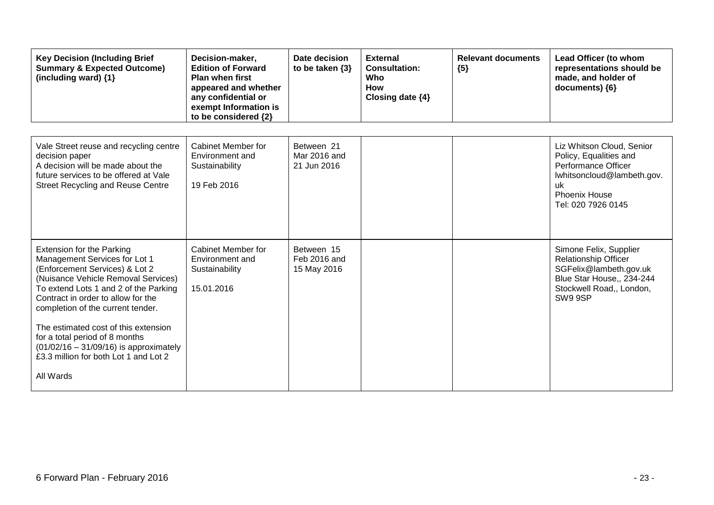| <b>Key Decision (Including Brief</b><br><b>Summary &amp; Expected Outcome)</b><br>(including ward) {1}                                                                                                                                                                                                                                                                                                                                     | Decision-maker,<br><b>Edition of Forward</b><br><b>Plan when first</b><br>appeared and whether<br>any confidential or<br>exempt Information is<br>to be considered {2} | Date decision<br>to be taken $\{3\}$      | <b>External</b><br><b>Consultation:</b><br>Who<br><b>How</b><br>Closing date $\{4\}$ | <b>Relevant documents</b><br>${5}$ | Lead Officer (to whom<br>representations should be<br>made, and holder of<br>documents) {6}                                                                   |
|--------------------------------------------------------------------------------------------------------------------------------------------------------------------------------------------------------------------------------------------------------------------------------------------------------------------------------------------------------------------------------------------------------------------------------------------|------------------------------------------------------------------------------------------------------------------------------------------------------------------------|-------------------------------------------|--------------------------------------------------------------------------------------|------------------------------------|---------------------------------------------------------------------------------------------------------------------------------------------------------------|
| Vale Street reuse and recycling centre<br>decision paper<br>A decision will be made about the<br>future services to be offered at Vale<br><b>Street Recycling and Reuse Centre</b>                                                                                                                                                                                                                                                         | Cabinet Member for<br>Environment and<br>Sustainability<br>19 Feb 2016                                                                                                 | Between 21<br>Mar 2016 and<br>21 Jun 2016 |                                                                                      |                                    | Liz Whitson Cloud, Senior<br>Policy, Equalities and<br>Performance Officer<br>lwhitsoncloud@lambeth.gov.<br>-uk<br><b>Phoenix House</b><br>Tel: 020 7926 0145 |
| <b>Extension for the Parking</b><br>Management Services for Lot 1<br>(Enforcement Services) & Lot 2<br>(Nuisance Vehicle Removal Services)<br>To extend Lots 1 and 2 of the Parking<br>Contract in order to allow for the<br>completion of the current tender.<br>The estimated cost of this extension<br>for a total period of 8 months<br>$(01/02/16 - 31/09/16)$ is approximately<br>£3.3 million for both Lot 1 and Lot 2<br>All Wards | Cabinet Member for<br>Environment and<br>Sustainability<br>15.01.2016                                                                                                  | Between 15<br>Feb 2016 and<br>15 May 2016 |                                                                                      |                                    | Simone Felix, Supplier<br><b>Relationship Officer</b><br>SGFelix@lambeth.gov.uk<br>Blue Star House,, 234-244<br>Stockwell Road,, London,<br>SW9 9SP           |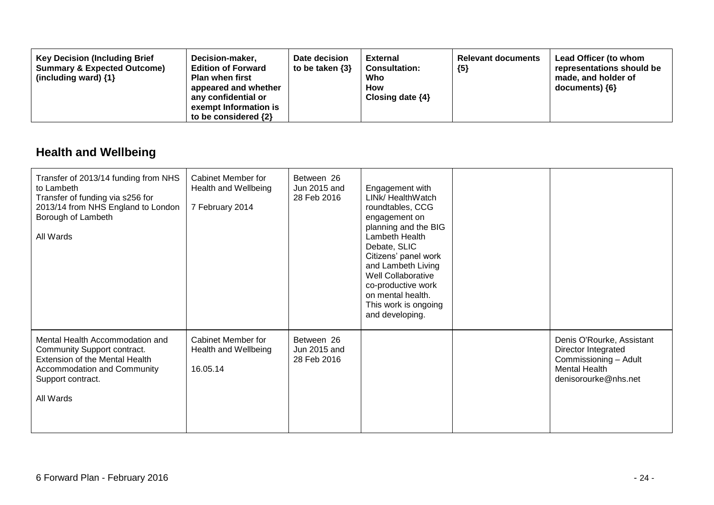| <b>Key Decision (Including Brief</b><br>Decision-maker,<br><b>Summary &amp; Expected Outcome)</b><br><b>Edition of Forward</b><br>(including ward) $\{1\}$<br><b>Plan when first</b><br>appeared and whether<br>any confidential or<br>exempt Information is<br>to be considered $\{2\}$ | Date decision<br>to be taken $\{3\}$ | <b>External</b><br><b>Consultation:</b><br>Who<br><b>How</b><br>Closing date $\{4\}$ | <b>Relevant documents</b><br>${5}$ | Lead Officer (to whom<br>representations should be<br>made, and holder of<br>documents) ${6}$ |
|------------------------------------------------------------------------------------------------------------------------------------------------------------------------------------------------------------------------------------------------------------------------------------------|--------------------------------------|--------------------------------------------------------------------------------------|------------------------------------|-----------------------------------------------------------------------------------------------|
|------------------------------------------------------------------------------------------------------------------------------------------------------------------------------------------------------------------------------------------------------------------------------------------|--------------------------------------|--------------------------------------------------------------------------------------|------------------------------------|-----------------------------------------------------------------------------------------------|

## **Health and Wellbeing**

| Transfer of 2013/14 funding from NHS<br>to Lambeth<br>Transfer of funding via s256 for<br>2013/14 from NHS England to London<br>Borough of Lambeth<br>All Wards          | Cabinet Member for<br>Health and Wellbeing<br>7 February 2014 | Between 26<br>Jun 2015 and<br>28 Feb 2016 | Engagement with<br>LINk/ HealthWatch<br>roundtables, CCG<br>engagement on<br>planning and the BIG<br>Lambeth Health<br>Debate, SLIC<br>Citizens' panel work<br>and Lambeth Living<br>Well Collaborative<br>co-productive work<br>on mental health.<br>This work is ongoing<br>and developing. |                                                                                                                           |
|--------------------------------------------------------------------------------------------------------------------------------------------------------------------------|---------------------------------------------------------------|-------------------------------------------|-----------------------------------------------------------------------------------------------------------------------------------------------------------------------------------------------------------------------------------------------------------------------------------------------|---------------------------------------------------------------------------------------------------------------------------|
| Mental Health Accommodation and<br>Community Support contract.<br>Extension of the Mental Health<br><b>Accommodation and Community</b><br>Support contract.<br>All Wards | <b>Cabinet Member for</b><br>Health and Wellbeing<br>16.05.14 | Between 26<br>Jun 2015 and<br>28 Feb 2016 |                                                                                                                                                                                                                                                                                               | Denis O'Rourke, Assistant<br>Director Integrated<br>Commissioning - Adult<br><b>Mental Health</b><br>denisorourke@nhs.net |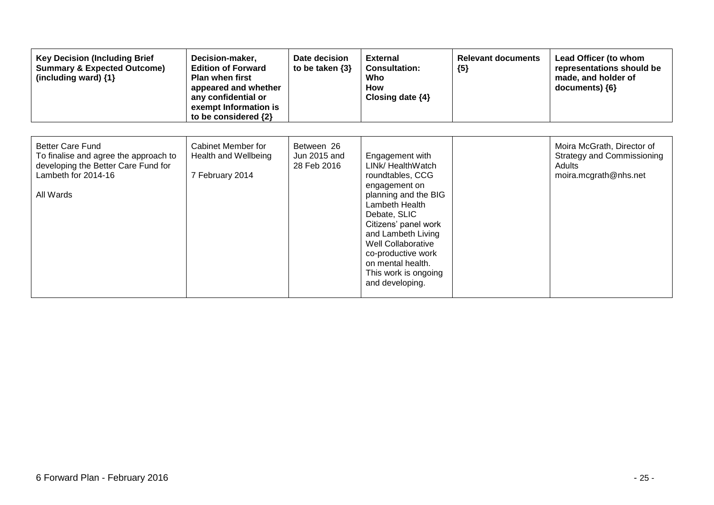| <b>Key Decision (Including Brief</b><br><b>Summary &amp; Expected Outcome)</b><br>(including ward) {1}                                      | Decision-maker,<br><b>Edition of Forward</b><br><b>Plan when first</b><br>appeared and whether<br>any confidential or<br>exempt Information is<br>to be considered {2} | Date decision<br>to be taken $\{3\}$      | <b>External</b><br><b>Consultation:</b><br>Who<br><b>How</b><br>Closing date $\{4\}$                                                                                                                                                                                                          | <b>Relevant documents</b><br>${5}$ | Lead Officer (to whom<br>representations should be<br>made, and holder of<br>documents) ${6}$      |
|---------------------------------------------------------------------------------------------------------------------------------------------|------------------------------------------------------------------------------------------------------------------------------------------------------------------------|-------------------------------------------|-----------------------------------------------------------------------------------------------------------------------------------------------------------------------------------------------------------------------------------------------------------------------------------------------|------------------------------------|----------------------------------------------------------------------------------------------------|
| <b>Better Care Fund</b><br>To finalise and agree the approach to<br>developing the Better Care Fund for<br>Lambeth for 2014-16<br>All Wards | Cabinet Member for<br>Health and Wellbeing<br>7 February 2014                                                                                                          | Between 26<br>Jun 2015 and<br>28 Feb 2016 | Engagement with<br>LINk/ HealthWatch<br>roundtables, CCG<br>engagement on<br>planning and the BIG<br>Lambeth Health<br>Debate, SLIC<br>Citizens' panel work<br>and Lambeth Living<br>Well Collaborative<br>co-productive work<br>on mental health.<br>This work is ongoing<br>and developing. |                                    | Moira McGrath, Director of<br><b>Strategy and Commissioning</b><br>Adults<br>moira.mcgrath@nhs.net |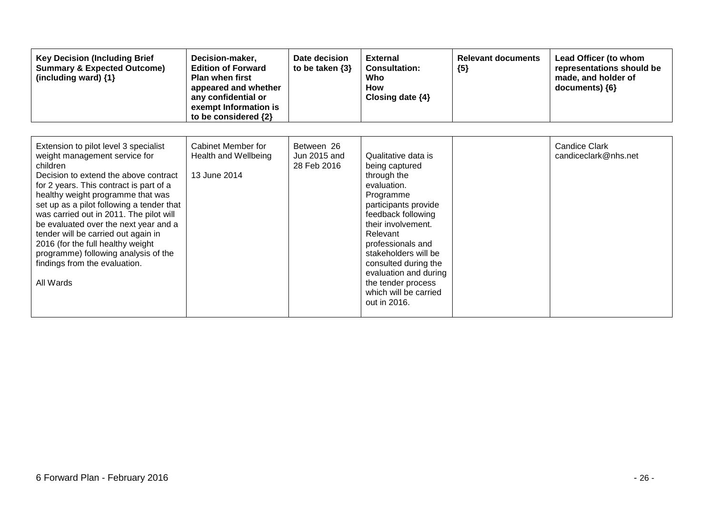| <b>Key Decision (Including Brief</b><br><b>Summary &amp; Expected Outcome)</b><br>(including ward) {1}                                                                                                                                                                                                                                                                                                                                                                                                         | Decision-maker,<br><b>Edition of Forward</b><br><b>Plan when first</b><br>appeared and whether<br>any confidential or<br>exempt Information is<br>to be considered {2} | Date decision<br>to be taken $\{3\}$      | <b>External</b><br><b>Consultation:</b><br>Who<br><b>How</b><br>Closing date {4}                                                                                                                                                                                                                                              | <b>Relevant documents</b><br>${5}$ | Lead Officer (to whom<br>representations should be<br>made, and holder of<br>documents) {6} |
|----------------------------------------------------------------------------------------------------------------------------------------------------------------------------------------------------------------------------------------------------------------------------------------------------------------------------------------------------------------------------------------------------------------------------------------------------------------------------------------------------------------|------------------------------------------------------------------------------------------------------------------------------------------------------------------------|-------------------------------------------|-------------------------------------------------------------------------------------------------------------------------------------------------------------------------------------------------------------------------------------------------------------------------------------------------------------------------------|------------------------------------|---------------------------------------------------------------------------------------------|
| Extension to pilot level 3 specialist<br>weight management service for<br>children<br>Decision to extend the above contract<br>for 2 years. This contract is part of a<br>healthy weight programme that was<br>set up as a pilot following a tender that<br>was carried out in 2011. The pilot will<br>be evaluated over the next year and a<br>tender will be carried out again in<br>2016 (for the full healthy weight<br>programme) following analysis of the<br>findings from the evaluation.<br>All Wards | Cabinet Member for<br>Health and Wellbeing<br>13 June 2014                                                                                                             | Between 26<br>Jun 2015 and<br>28 Feb 2016 | Qualitative data is<br>being captured<br>through the<br>evaluation.<br>Programme<br>participants provide<br>feedback following<br>their involvement.<br>Relevant<br>professionals and<br>stakeholders will be<br>consulted during the<br>evaluation and during<br>the tender process<br>which will be carried<br>out in 2016. |                                    | <b>Candice Clark</b><br>candiceclark@nhs.net                                                |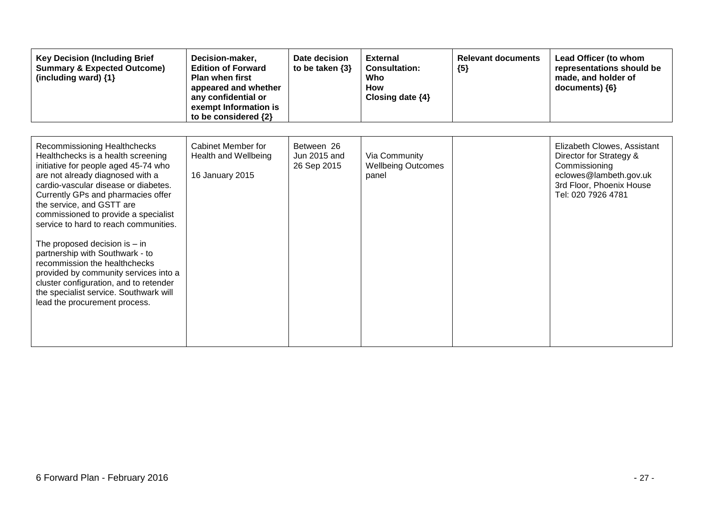| <b>Key Decision (Including Brief</b><br><b>Summary &amp; Expected Outcome)</b><br>(including ward) {1}                                                                                                                                                                                                                                                                                                                                                                                                                                                                                                          | Decision-maker,<br><b>Edition of Forward</b><br><b>Plan when first</b><br>appeared and whether<br>any confidential or<br>exempt Information is<br>to be considered {2} | Date decision<br>to be taken $\{3\}$      | <b>External</b><br><b>Consultation:</b><br>Who<br><b>How</b><br>Closing date {4} | <b>Relevant documents</b><br>${5}$ | Lead Officer (to whom<br>representations should be<br>made, and holder of<br>documents) {6}                                                         |
|-----------------------------------------------------------------------------------------------------------------------------------------------------------------------------------------------------------------------------------------------------------------------------------------------------------------------------------------------------------------------------------------------------------------------------------------------------------------------------------------------------------------------------------------------------------------------------------------------------------------|------------------------------------------------------------------------------------------------------------------------------------------------------------------------|-------------------------------------------|----------------------------------------------------------------------------------|------------------------------------|-----------------------------------------------------------------------------------------------------------------------------------------------------|
| Recommissioning Healthchecks<br>Healthchecks is a health screening<br>initiative for people aged 45-74 who<br>are not already diagnosed with a<br>cardio-vascular disease or diabetes.<br>Currently GPs and pharmacies offer<br>the service, and GSTT are<br>commissioned to provide a specialist<br>service to hard to reach communities.<br>The proposed decision is $-$ in<br>partnership with Southwark - to<br>recommission the healthchecks<br>provided by community services into a<br>cluster configuration, and to retender<br>the specialist service. Southwark will<br>lead the procurement process. | Cabinet Member for<br>Health and Wellbeing<br>16 January 2015                                                                                                          | Between 26<br>Jun 2015 and<br>26 Sep 2015 | Via Community<br><b>Wellbeing Outcomes</b><br>panel                              |                                    | Elizabeth Clowes, Assistant<br>Director for Strategy &<br>Commissioning<br>eclowes@lambeth.gov.uk<br>3rd Floor, Phoenix House<br>Tel: 020 7926 4781 |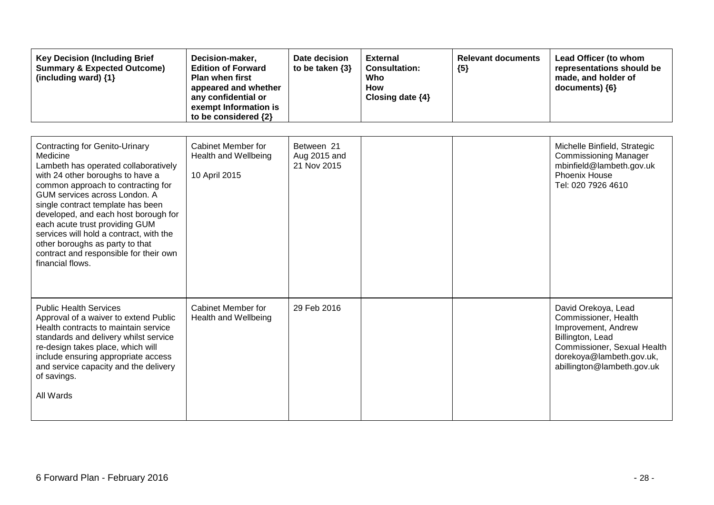| <b>Key Decision (Including Brief</b><br><b>Summary &amp; Expected Outcome)</b><br>(including ward) {1}                                                                                                                                                                                                                                                                                                                                                          | Decision-maker,<br><b>Edition of Forward</b><br><b>Plan when first</b><br>appeared and whether<br>any confidential or<br>exempt Information is<br>to be considered {2} | Date decision<br>to be taken $\{3\}$      | <b>External</b><br><b>Consultation:</b><br>Who<br><b>How</b><br>Closing date {4} | <b>Relevant documents</b><br>${5}$ | Lead Officer (to whom<br>representations should be<br>made, and holder of<br>documents) {6}                                                                                     |
|-----------------------------------------------------------------------------------------------------------------------------------------------------------------------------------------------------------------------------------------------------------------------------------------------------------------------------------------------------------------------------------------------------------------------------------------------------------------|------------------------------------------------------------------------------------------------------------------------------------------------------------------------|-------------------------------------------|----------------------------------------------------------------------------------|------------------------------------|---------------------------------------------------------------------------------------------------------------------------------------------------------------------------------|
| <b>Contracting for Genito-Urinary</b><br>Medicine<br>Lambeth has operated collaboratively<br>with 24 other boroughs to have a<br>common approach to contracting for<br>GUM services across London, A<br>single contract template has been<br>developed, and each host borough for<br>each acute trust providing GUM<br>services will hold a contract, with the<br>other boroughs as party to that<br>contract and responsible for their own<br>financial flows. | Cabinet Member for<br>Health and Wellbeing<br>10 April 2015                                                                                                            | Between 21<br>Aug 2015 and<br>21 Nov 2015 |                                                                                  |                                    | Michelle Binfield, Strategic<br><b>Commissioning Manager</b><br>mbinfield@lambeth.gov.uk<br>Phoenix House<br>Tel: 020 7926 4610                                                 |
| <b>Public Health Services</b><br>Approval of a waiver to extend Public<br>Health contracts to maintain service<br>standards and delivery whilst service<br>re-design takes place, which will<br>include ensuring appropriate access<br>and service capacity and the delivery<br>of savings.<br>All Wards                                                                                                                                                        | Cabinet Member for<br>Health and Wellbeing                                                                                                                             | 29 Feb 2016                               |                                                                                  |                                    | David Orekoya, Lead<br>Commissioner, Health<br>Improvement, Andrew<br>Billington, Lead<br>Commissioner, Sexual Health<br>dorekoya@lambeth.gov.uk,<br>abillington@lambeth.gov.uk |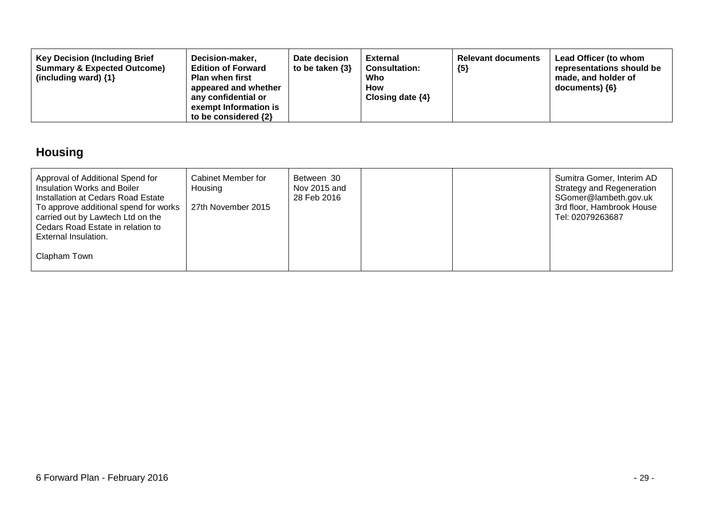| <b>Key Decision (Including Brief</b><br>Decision-maker,<br><b>Summary &amp; Expected Outcome)</b><br><b>Edition of Forward</b><br>(including ward) $\{1\}$<br><b>Plan when first</b><br>appeared and whether<br>any confidential or<br>exempt Information is<br>to be considered $\{2\}$ | Date decision<br>to be taken $\{3\}$ | External<br><b>Consultation:</b><br>Who<br>How<br>Closing date $\{4\}$ | <b>Relevant documents</b><br>${5}$ | Lead Officer (to whom<br>representations should be<br>made, and holder of<br>$documents)$ {6} |
|------------------------------------------------------------------------------------------------------------------------------------------------------------------------------------------------------------------------------------------------------------------------------------------|--------------------------------------|------------------------------------------------------------------------|------------------------------------|-----------------------------------------------------------------------------------------------|
|------------------------------------------------------------------------------------------------------------------------------------------------------------------------------------------------------------------------------------------------------------------------------------------|--------------------------------------|------------------------------------------------------------------------|------------------------------------|-----------------------------------------------------------------------------------------------|

## **Housing**

| Approval of Additional Spend for<br>Insulation Works and Boiler<br>Installation at Cedars Road Estate<br>To approve additional spend for works | Cabinet Member for<br>Housing<br>27th November 2015 | Between 30<br>Nov 2015 and<br>28 Feb 2016 |  | Sumitra Gomer, Interim AD<br><b>Strategy and Regeneration</b><br>SGomer@lambeth.gov.uk<br>3rd floor, Hambrook House |
|------------------------------------------------------------------------------------------------------------------------------------------------|-----------------------------------------------------|-------------------------------------------|--|---------------------------------------------------------------------------------------------------------------------|
| carried out by Lawtech Ltd on the<br>Cedars Road Estate in relation to<br>External Insulation.                                                 |                                                     |                                           |  | Tel: 02079263687                                                                                                    |
| Clapham Town                                                                                                                                   |                                                     |                                           |  |                                                                                                                     |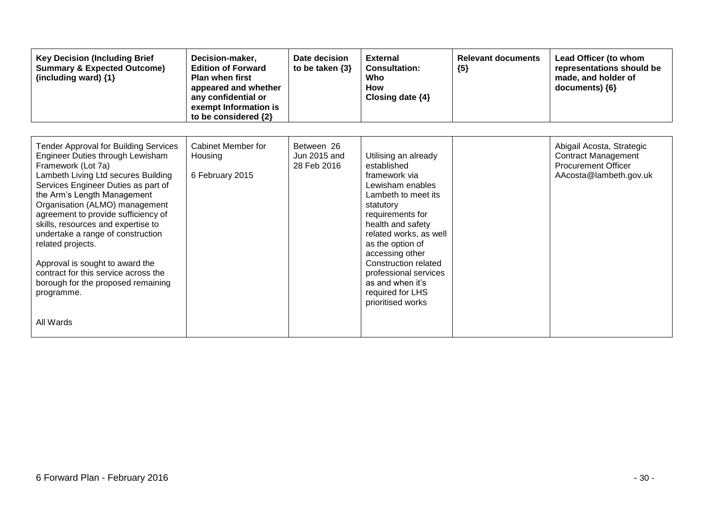| <b>Key Decision (Including Brief</b><br><b>Summary &amp; Expected Outcome)</b><br>(including ward) {1}                                                                                                                                                                                                                                                                                                                                                                                                                                   | Decision-maker,<br><b>Edition of Forward</b><br><b>Plan when first</b><br>appeared and whether<br>any confidential or<br>exempt Information is<br>to be considered {2} | Date decision<br>to be taken $\{3\}$      | <b>External</b><br><b>Consultation:</b><br>Who<br>How<br>Closing date $\{4\}$                                                                                                                                                                                                                                                               | <b>Relevant documents</b><br>${5}$ | Lead Officer (to whom<br>representations should be<br>made, and holder of<br>documents) {6}                     |
|------------------------------------------------------------------------------------------------------------------------------------------------------------------------------------------------------------------------------------------------------------------------------------------------------------------------------------------------------------------------------------------------------------------------------------------------------------------------------------------------------------------------------------------|------------------------------------------------------------------------------------------------------------------------------------------------------------------------|-------------------------------------------|---------------------------------------------------------------------------------------------------------------------------------------------------------------------------------------------------------------------------------------------------------------------------------------------------------------------------------------------|------------------------------------|-----------------------------------------------------------------------------------------------------------------|
| <b>Tender Approval for Building Services</b><br>Engineer Duties through Lewisham<br>Framework (Lot 7a)<br>Lambeth Living Ltd secures Building<br>Services Engineer Duties as part of<br>the Arm's Length Management<br>Organisation (ALMO) management<br>agreement to provide sufficiency of<br>skills, resources and expertise to<br>undertake a range of construction<br>related projects.<br>Approval is sought to award the<br>contract for this service across the<br>borough for the proposed remaining<br>programme.<br>All Wards | Cabinet Member for<br>Housing<br>6 February 2015                                                                                                                       | Between 26<br>Jun 2015 and<br>28 Feb 2016 | Utilising an already<br>established<br>framework via<br>Lewisham enables<br>Lambeth to meet its<br>statutory<br>requirements for<br>health and safety<br>related works, as well<br>as the option of<br>accessing other<br><b>Construction related</b><br>professional services<br>as and when it's<br>required for LHS<br>prioritised works |                                    | Abigail Acosta, Strategic<br><b>Contract Management</b><br><b>Procurement Officer</b><br>AAcosta@lambeth.gov.uk |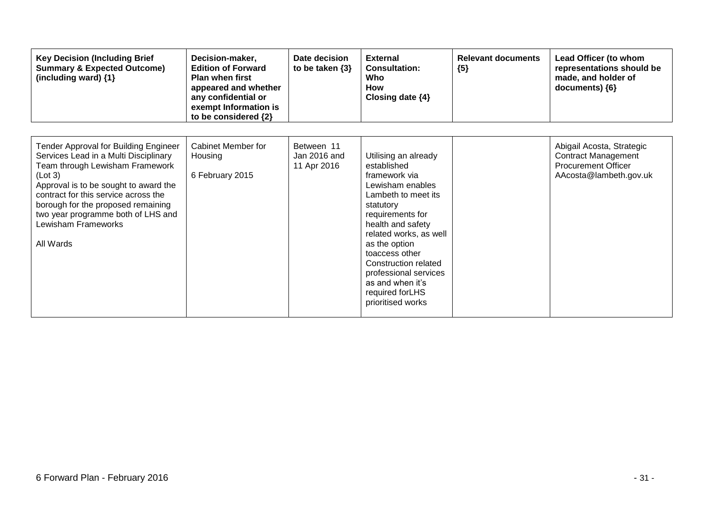| <b>Key Decision (Including Brief</b><br><b>Summary &amp; Expected Outcome)</b><br>(including ward) {1}                                                                                                                                                                                                                        | Decision-maker,<br><b>Edition of Forward</b><br><b>Plan when first</b><br>appeared and whether<br>any confidential or<br>exempt Information is<br>to be considered {2} | Date decision<br>to be taken $\{3\}$      | <b>External</b><br><b>Consultation:</b><br>Who<br><b>How</b><br>Closing date $\{4\}$                                                                                                                                                                                                                                             | <b>Relevant documents</b><br>${5}$ | Lead Officer (to whom<br>representations should be<br>made, and holder of<br>documents) ${6}$                   |
|-------------------------------------------------------------------------------------------------------------------------------------------------------------------------------------------------------------------------------------------------------------------------------------------------------------------------------|------------------------------------------------------------------------------------------------------------------------------------------------------------------------|-------------------------------------------|----------------------------------------------------------------------------------------------------------------------------------------------------------------------------------------------------------------------------------------------------------------------------------------------------------------------------------|------------------------------------|-----------------------------------------------------------------------------------------------------------------|
| Tender Approval for Building Engineer<br>Services Lead in a Multi Disciplinary<br>Team through Lewisham Framework<br>(Lot 3)<br>Approval is to be sought to award the<br>contract for this service across the<br>borough for the proposed remaining<br>two year programme both of LHS and<br>Lewisham Frameworks<br>All Wards | <b>Cabinet Member for</b><br>Housing<br>6 February 2015                                                                                                                | Between 11<br>Jan 2016 and<br>11 Apr 2016 | Utilising an already<br>established<br>framework via<br>Lewisham enables<br>Lambeth to meet its<br>statutory<br>requirements for<br>health and safety<br>related works, as well<br>as the option<br>toaccess other<br>Construction related<br>professional services<br>as and when it's<br>required for LHS<br>prioritised works |                                    | Abigail Acosta, Strategic<br><b>Contract Management</b><br><b>Procurement Officer</b><br>AAcosta@lambeth.gov.uk |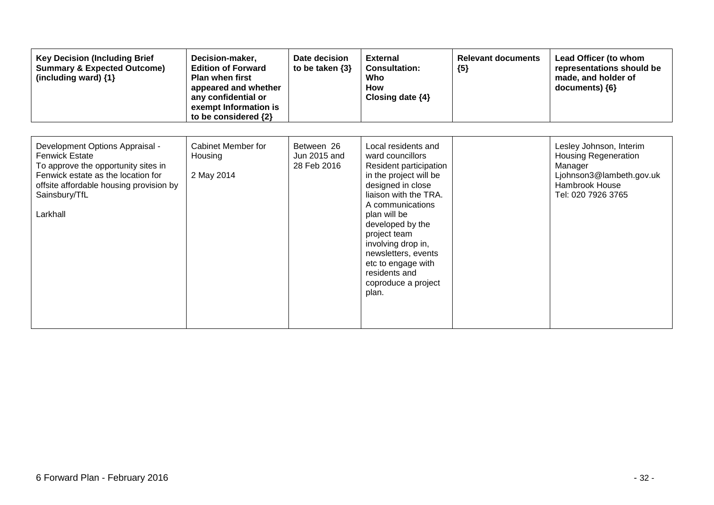| <b>Key Decision (Including Brief</b><br><b>Summary &amp; Expected Outcome)</b><br>(including ward) {1}                                                                                                        | Decision-maker,<br><b>Edition of Forward</b><br><b>Plan when first</b><br>appeared and whether<br>any confidential or<br>exempt Information is<br>to be considered {2} | Date decision<br>to be taken $\{3\}$      | <b>External</b><br><b>Consultation:</b><br>Who<br><b>How</b><br>Closing date $\{4\}$                                                                                                                                                                                                                                                  | <b>Relevant documents</b><br>${5}$ | Lead Officer (to whom<br>representations should be<br>made, and holder of<br>documents) {6}                                           |
|---------------------------------------------------------------------------------------------------------------------------------------------------------------------------------------------------------------|------------------------------------------------------------------------------------------------------------------------------------------------------------------------|-------------------------------------------|---------------------------------------------------------------------------------------------------------------------------------------------------------------------------------------------------------------------------------------------------------------------------------------------------------------------------------------|------------------------------------|---------------------------------------------------------------------------------------------------------------------------------------|
| Development Options Appraisal -<br><b>Fenwick Estate</b><br>To approve the opportunity sites in<br>Fenwick estate as the location for<br>offsite affordable housing provision by<br>Sainsbury/TfL<br>Larkhall | Cabinet Member for<br>Housing<br>2 May 2014                                                                                                                            | Between 26<br>Jun 2015 and<br>28 Feb 2016 | Local residents and<br>ward councillors<br>Resident participation<br>in the project will be<br>designed in close<br>liaison with the TRA.<br>A communications<br>plan will be<br>developed by the<br>project team<br>involving drop in,<br>newsletters, events<br>etc to engage with<br>residents and<br>coproduce a project<br>plan. |                                    | Lesley Johnson, Interim<br><b>Housing Regeneration</b><br>Manager<br>Ljohnson3@lambeth.gov.uk<br>Hambrook House<br>Tel: 020 7926 3765 |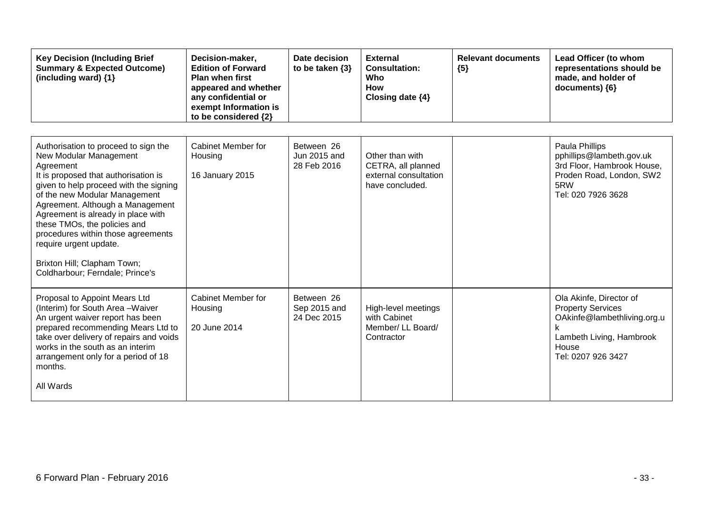| <b>Key Decision (Including Brief</b><br><b>Summary &amp; Expected Outcome)</b><br>(including ward) $\{1\}$                                                                                                                                                                                                                                                                                                                                 | Decision-maker,<br><b>Edition of Forward</b><br><b>Plan when first</b><br>appeared and whether<br>any confidential or<br>exempt Information is<br>to be considered {2} | Date decision<br>to be taken $\{3\}$      | <b>External</b><br><b>Consultation:</b><br>Who<br><b>How</b><br>Closing date {4}  | <b>Relevant documents</b><br>${5}$ | Lead Officer (to whom<br>representations should be<br>made, and holder of<br>documents) {6}                                                   |
|--------------------------------------------------------------------------------------------------------------------------------------------------------------------------------------------------------------------------------------------------------------------------------------------------------------------------------------------------------------------------------------------------------------------------------------------|------------------------------------------------------------------------------------------------------------------------------------------------------------------------|-------------------------------------------|-----------------------------------------------------------------------------------|------------------------------------|-----------------------------------------------------------------------------------------------------------------------------------------------|
| Authorisation to proceed to sign the<br>New Modular Management<br>Agreement<br>It is proposed that authorisation is<br>given to help proceed with the signing<br>of the new Modular Management<br>Agreement. Although a Management<br>Agreement is already in place with<br>these TMOs, the policies and<br>procedures within those agreements<br>require urgent update.<br>Brixton Hill; Clapham Town;<br>Coldharbour; Ferndale; Prince's | <b>Cabinet Member for</b><br>Housing<br>16 January 2015                                                                                                                | Between 26<br>Jun 2015 and<br>28 Feb 2016 | Other than with<br>CETRA, all planned<br>external consultation<br>have concluded. |                                    | Paula Phillips<br>pphillips@lambeth.gov.uk<br>3rd Floor, Hambrook House,<br>Proden Road, London, SW2<br>5RW<br>Tel: 020 7926 3628             |
| Proposal to Appoint Mears Ltd<br>(Interim) for South Area-Waiver<br>An urgent waiver report has been<br>prepared recommending Mears Ltd to<br>take over delivery of repairs and voids<br>works in the south as an interim<br>arrangement only for a period of 18<br>months.<br>All Wards                                                                                                                                                   | <b>Cabinet Member for</b><br>Housing<br>20 June 2014                                                                                                                   | Between 26<br>Sep 2015 and<br>24 Dec 2015 | High-level meetings<br>with Cabinet<br>Member/ LL Board/<br>Contractor            |                                    | Ola Akinfe, Director of<br><b>Property Services</b><br>OAkinfe@lambethliving.org.u<br>Lambeth Living, Hambrook<br>House<br>Tel: 0207 926 3427 |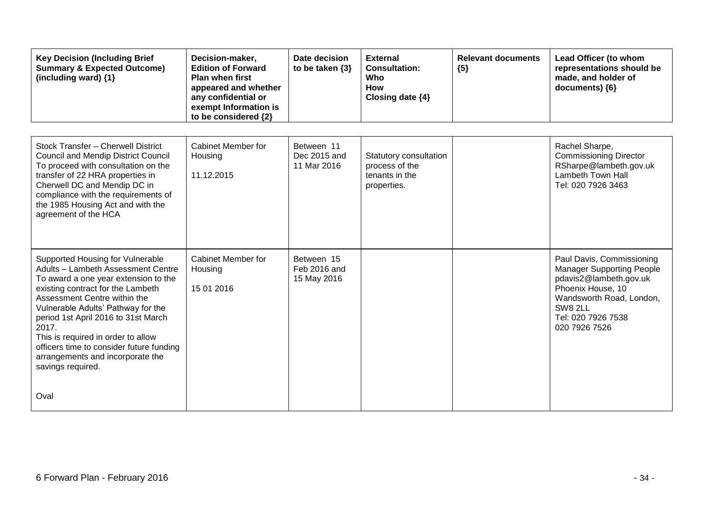| <b>Key Decision (Including Brief</b><br><b>Summary &amp; Expected Outcome)</b><br>(including ward) {1}                                                                                                                                                                                                                                                                                                               | Decision-maker,<br><b>Edition of Forward</b><br><b>Plan when first</b><br>appeared and whether<br>any confidential or<br>exempt Information is<br>to be considered {2} | Date decision<br>to be taken $\{3\}$      | <b>External</b><br><b>Consultation:</b><br>Who<br><b>How</b><br>Closing date {4} | <b>Relevant documents</b><br>${5}$ | Lead Officer (to whom<br>representations should be<br>made, and holder of<br>documents) {6}                                                                                                |
|----------------------------------------------------------------------------------------------------------------------------------------------------------------------------------------------------------------------------------------------------------------------------------------------------------------------------------------------------------------------------------------------------------------------|------------------------------------------------------------------------------------------------------------------------------------------------------------------------|-------------------------------------------|----------------------------------------------------------------------------------|------------------------------------|--------------------------------------------------------------------------------------------------------------------------------------------------------------------------------------------|
| Stock Transfer - Cherwell District<br><b>Council and Mendip District Council</b><br>To proceed with consultation on the<br>transfer of 22 HRA properties in<br>Cherwell DC and Mendip DC in<br>compliance with the requirements of<br>the 1985 Housing Act and with the<br>agreement of the HCA                                                                                                                      | <b>Cabinet Member for</b><br>Housing<br>11.12.2015                                                                                                                     | Between 11<br>Dec 2015 and<br>11 Mar 2016 | Statutory consultation<br>process of the<br>tenants in the<br>properties.        |                                    | Rachel Sharpe,<br><b>Commissioning Director</b><br>RSharpe@lambeth.gov.uk<br><b>Lambeth Town Hall</b><br>Tel: 020 7926 3463                                                                |
| Supported Housing for Vulnerable<br>Adults - Lambeth Assessment Centre<br>To award a one year extension to the<br>existing contract for the Lambeth<br>Assessment Centre within the<br>Vulnerable Adults' Pathway for the<br>period 1st April 2016 to 31st March<br>2017.<br>This is required in order to allow<br>officers time to consider future funding<br>arrangements and incorporate the<br>savings required. | <b>Cabinet Member for</b><br>Housing<br>15 01 2016                                                                                                                     | Between 15<br>Feb 2016 and<br>15 May 2016 |                                                                                  |                                    | Paul Davis, Commissioning<br><b>Manager Supporting People</b><br>pdavis2@lambeth.gov.uk<br>Phoenix House, 10<br>Wandsworth Road, London,<br>SW8 2LL<br>Tel: 020 7926 7538<br>020 7926 7526 |
| Oval                                                                                                                                                                                                                                                                                                                                                                                                                 |                                                                                                                                                                        |                                           |                                                                                  |                                    |                                                                                                                                                                                            |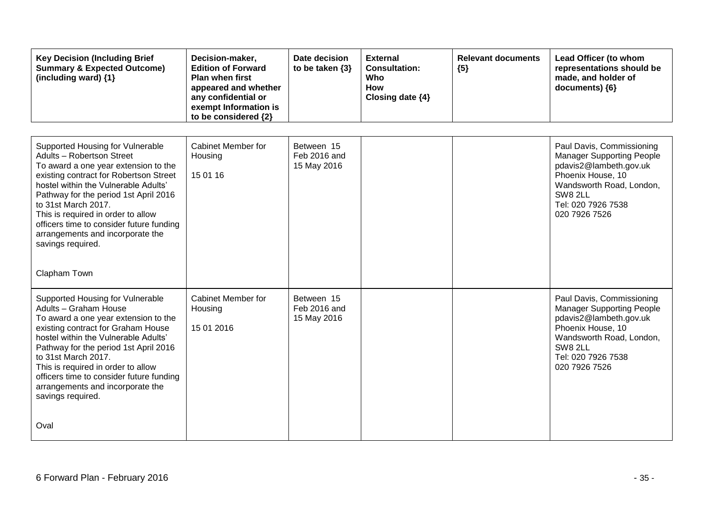| <b>Key Decision (Including Brief</b><br><b>Summary &amp; Expected Outcome)</b><br>(including ward) $\{1\}$                                                                                                                                                                                                                                                                                                         | Decision-maker,<br><b>Edition of Forward</b><br><b>Plan when first</b><br>appeared and whether<br>any confidential or<br>exempt Information is<br>to be considered {2} | Date decision<br>to be taken $\{3\}$      | <b>External</b><br><b>Consultation:</b><br>Who<br><b>How</b><br>Closing date {4} | <b>Relevant documents</b><br>${5}$ | Lead Officer (to whom<br>representations should be<br>made, and holder of<br>documents) {6}                                                                                                |
|--------------------------------------------------------------------------------------------------------------------------------------------------------------------------------------------------------------------------------------------------------------------------------------------------------------------------------------------------------------------------------------------------------------------|------------------------------------------------------------------------------------------------------------------------------------------------------------------------|-------------------------------------------|----------------------------------------------------------------------------------|------------------------------------|--------------------------------------------------------------------------------------------------------------------------------------------------------------------------------------------|
| Supported Housing for Vulnerable<br>Adults - Robertson Street<br>To award a one year extension to the<br>existing contract for Robertson Street<br>hostel within the Vulnerable Adults'<br>Pathway for the period 1st April 2016<br>to 31st March 2017.<br>This is required in order to allow<br>officers time to consider future funding<br>arrangements and incorporate the<br>savings required.                 | Cabinet Member for<br>Housing<br>15 01 16                                                                                                                              | Between 15<br>Feb 2016 and<br>15 May 2016 |                                                                                  |                                    | Paul Davis, Commissioning<br><b>Manager Supporting People</b><br>pdavis2@lambeth.gov.uk<br>Phoenix House, 10<br>Wandsworth Road, London,<br>SW8 2LL<br>Tel: 020 7926 7538<br>020 7926 7526 |
| Clapham Town<br>Supported Housing for Vulnerable<br>Adults - Graham House<br>To award a one year extension to the<br>existing contract for Graham House<br>hostel within the Vulnerable Adults'<br>Pathway for the period 1st April 2016<br>to 31st March 2017.<br>This is required in order to allow<br>officers time to consider future funding<br>arrangements and incorporate the<br>savings required.<br>Oval | <b>Cabinet Member for</b><br>Housing<br>15 01 2016                                                                                                                     | Between 15<br>Feb 2016 and<br>15 May 2016 |                                                                                  |                                    | Paul Davis, Commissioning<br><b>Manager Supporting People</b><br>pdavis2@lambeth.gov.uk<br>Phoenix House, 10<br>Wandsworth Road, London,<br>SW8 2LL<br>Tel: 020 7926 7538<br>020 7926 7526 |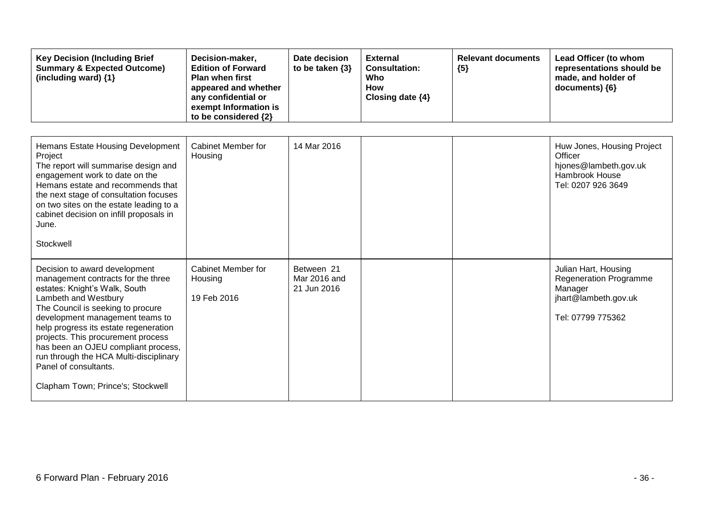| <b>Key Decision (Including Brief</b><br><b>Summary &amp; Expected Outcome)</b><br>(including ward) {1}                                                                                                                                                                                                                                                                                                                             | Decision-maker,<br><b>Edition of Forward</b><br><b>Plan when first</b><br>appeared and whether<br>any confidential or<br>exempt Information is<br>to be considered {2} | Date decision<br>to be taken $\{3\}$      | <b>External</b><br><b>Consultation:</b><br>Who<br><b>How</b><br>Closing date {4} | <b>Relevant documents</b><br>${5}$ | Lead Officer (to whom<br>representations should be<br>made, and holder of<br>documents) {6}                   |
|------------------------------------------------------------------------------------------------------------------------------------------------------------------------------------------------------------------------------------------------------------------------------------------------------------------------------------------------------------------------------------------------------------------------------------|------------------------------------------------------------------------------------------------------------------------------------------------------------------------|-------------------------------------------|----------------------------------------------------------------------------------|------------------------------------|---------------------------------------------------------------------------------------------------------------|
| Hemans Estate Housing Development<br>Project<br>The report will summarise design and<br>engagement work to date on the<br>Hemans estate and recommends that<br>the next stage of consultation focuses<br>on two sites on the estate leading to a<br>cabinet decision on infill proposals in<br>June.<br>Stockwell                                                                                                                  | Cabinet Member for<br>Housing                                                                                                                                          | 14 Mar 2016                               |                                                                                  |                                    | Huw Jones, Housing Project<br>Officer<br>hjones@lambeth.gov.uk<br>Hambrook House<br>Tel: 0207 926 3649        |
| Decision to award development<br>management contracts for the three<br>estates: Knight's Walk, South<br>Lambeth and Westbury<br>The Council is seeking to procure<br>development management teams to<br>help progress its estate regeneration<br>projects. This procurement process<br>has been an OJEU compliant process,<br>run through the HCA Multi-disciplinary<br>Panel of consultants.<br>Clapham Town; Prince's; Stockwell | Cabinet Member for<br>Housing<br>19 Feb 2016                                                                                                                           | Between 21<br>Mar 2016 and<br>21 Jun 2016 |                                                                                  |                                    | Julian Hart, Housing<br><b>Regeneration Programme</b><br>Manager<br>jhart@lambeth.gov.uk<br>Tel: 07799 775362 |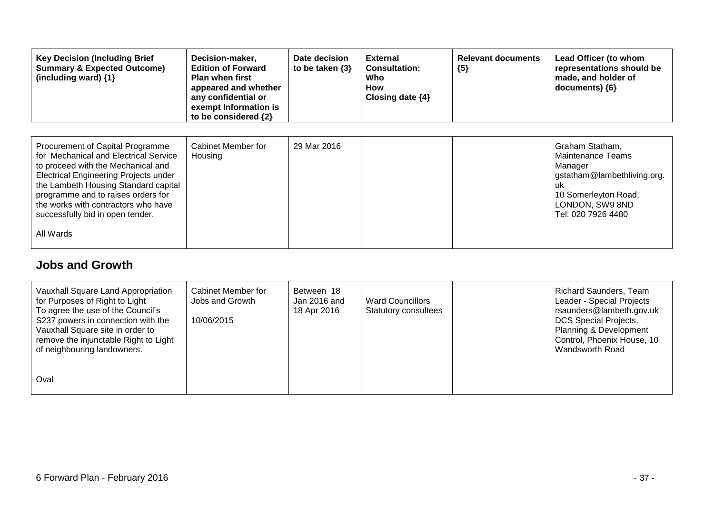| <b>Key Decision (Including Brief</b><br><b>Summary &amp; Expected Outcome)</b><br>(including ward) $\{1\}$                                                                                                                                                                                                                     | Decision-maker,<br><b>Edition of Forward</b><br><b>Plan when first</b><br>appeared and whether<br>any confidential or<br>exempt Information is<br>to be considered {2} | Date decision<br>to be taken $\{3\}$ | <b>External</b><br><b>Consultation:</b><br>Who<br>How<br>Closing date $\{4\}$ | <b>Relevant documents</b><br>${5}$ | Lead Officer (to whom<br>representations should be<br>made, and holder of<br>$documents)$ {6}                                                         |
|--------------------------------------------------------------------------------------------------------------------------------------------------------------------------------------------------------------------------------------------------------------------------------------------------------------------------------|------------------------------------------------------------------------------------------------------------------------------------------------------------------------|--------------------------------------|-------------------------------------------------------------------------------|------------------------------------|-------------------------------------------------------------------------------------------------------------------------------------------------------|
| Procurement of Capital Programme<br>for Mechanical and Electrical Service<br>to proceed with the Mechanical and<br>Electrical Engineering Projects under<br>the Lambeth Housing Standard capital<br>programme and to raises orders for<br>the works with contractors who have<br>successfully bid in open tender.<br>All Wards | Cabinet Member for<br>Housing                                                                                                                                          | 29 Mar 2016                          |                                                                               |                                    | Graham Statham,<br>Maintenance Teams<br>Manager<br>gstatham@lambethliving.org.<br>uk<br>10 Somerleyton Road,<br>LONDON, SW9 8ND<br>Tel: 020 7926 4480 |

#### **Jobs and Growth**

| Vauxhall Square Land Appropriation<br>for Purposes of Right to Light<br>To agree the use of the Council's<br>S237 powers in connection with the<br>Vauxhall Square site in order to<br>remove the injunctable Right to Light<br>of neighbouring landowners. | Cabinet Member for<br>Jobs and Growth<br>10/06/2015 | Between 18<br>Jan 2016 and<br>18 Apr 2016 | <b>Ward Councillors</b><br><b>Statutory consultees</b> | <b>Richard Saunders, Team</b><br>Leader - Special Projects<br>rsaunders@lambeth.gov.uk<br><b>DCS Special Projects,</b><br>Planning & Development<br>Control, Phoenix House, 10<br>Wandsworth Road |
|-------------------------------------------------------------------------------------------------------------------------------------------------------------------------------------------------------------------------------------------------------------|-----------------------------------------------------|-------------------------------------------|--------------------------------------------------------|---------------------------------------------------------------------------------------------------------------------------------------------------------------------------------------------------|
| Oval                                                                                                                                                                                                                                                        |                                                     |                                           |                                                        |                                                                                                                                                                                                   |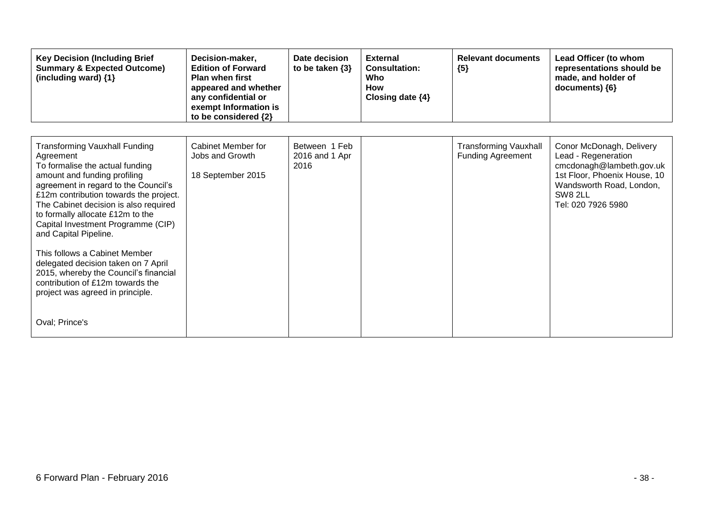| <b>Key Decision (Including Brief</b><br><b>Summary &amp; Expected Outcome)</b><br>(including ward) {1}                                                                                                                                                                                                                                                                                                                                                                                                                                                        | Decision-maker,<br><b>Edition of Forward</b><br><b>Plan when first</b><br>appeared and whether<br>any confidential or<br>exempt Information is<br>to be considered {2} | Date decision<br>to be taken $\{3\}$    | <b>External</b><br><b>Consultation:</b><br>Who<br><b>How</b><br>Closing date $\{4\}$ | <b>Relevant documents</b><br>${5}$                       | Lead Officer (to whom<br>representations should be<br>made, and holder of<br>documents) {6}                                                                              |
|---------------------------------------------------------------------------------------------------------------------------------------------------------------------------------------------------------------------------------------------------------------------------------------------------------------------------------------------------------------------------------------------------------------------------------------------------------------------------------------------------------------------------------------------------------------|------------------------------------------------------------------------------------------------------------------------------------------------------------------------|-----------------------------------------|--------------------------------------------------------------------------------------|----------------------------------------------------------|--------------------------------------------------------------------------------------------------------------------------------------------------------------------------|
| <b>Transforming Vauxhall Funding</b><br>Agreement<br>To formalise the actual funding<br>amount and funding profiling<br>agreement in regard to the Council's<br>£12m contribution towards the project.<br>The Cabinet decision is also required<br>to formally allocate £12m to the<br>Capital Investment Programme (CIP)<br>and Capital Pipeline.<br>This follows a Cabinet Member<br>delegated decision taken on 7 April<br>2015, whereby the Council's financial<br>contribution of £12m towards the<br>project was agreed in principle.<br>Oval; Prince's | Cabinet Member for<br>Jobs and Growth<br>18 September 2015                                                                                                             | Between 1 Feb<br>2016 and 1 Apr<br>2016 |                                                                                      | <b>Transforming Vauxhall</b><br><b>Funding Agreement</b> | Conor McDonagh, Delivery<br>Lead - Regeneration<br>cmcdonagh@lambeth.gov.uk<br>1st Floor, Phoenix House, 10<br>Wandsworth Road, London,<br>SW8 2LL<br>Tel: 020 7926 5980 |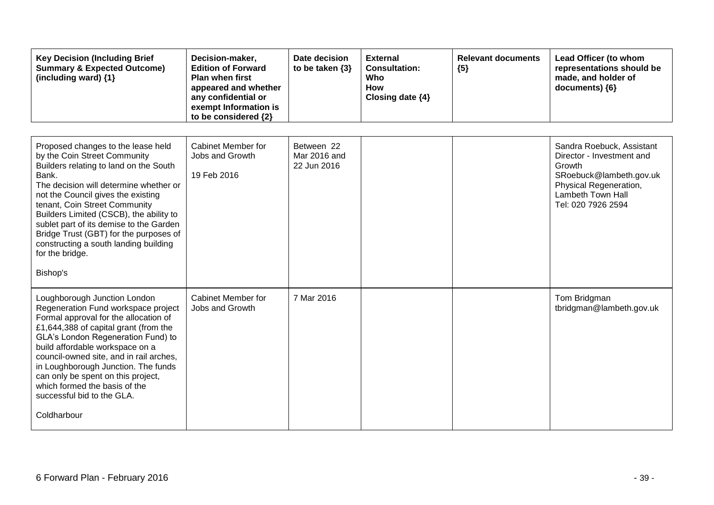| <b>Key Decision (Including Brief</b><br><b>Summary &amp; Expected Outcome)</b><br>(including ward) {1}                                                                                                                                                                                                                                                                                                                                         | Decision-maker,<br><b>Edition of Forward</b><br><b>Plan when first</b><br>appeared and whether<br>any confidential or<br>exempt Information is<br>to be considered {2} | Date decision<br>to be taken $\{3\}$      | <b>External</b><br><b>Consultation:</b><br>Who<br>How<br>Closing date {4} | <b>Relevant documents</b><br>${5}$ | Lead Officer (to whom<br>representations should be<br>made, and holder of<br>documents) {6}                                                                      |
|------------------------------------------------------------------------------------------------------------------------------------------------------------------------------------------------------------------------------------------------------------------------------------------------------------------------------------------------------------------------------------------------------------------------------------------------|------------------------------------------------------------------------------------------------------------------------------------------------------------------------|-------------------------------------------|---------------------------------------------------------------------------|------------------------------------|------------------------------------------------------------------------------------------------------------------------------------------------------------------|
| Proposed changes to the lease held<br>by the Coin Street Community<br>Builders relating to land on the South<br>Bank.<br>The decision will determine whether or<br>not the Council gives the existing<br>tenant, Coin Street Community<br>Builders Limited (CSCB), the ability to<br>sublet part of its demise to the Garden<br>Bridge Trust (GBT) for the purposes of<br>constructing a south landing building<br>for the bridge.<br>Bishop's | Cabinet Member for<br>Jobs and Growth<br>19 Feb 2016                                                                                                                   | Between 22<br>Mar 2016 and<br>22 Jun 2016 |                                                                           |                                    | Sandra Roebuck, Assistant<br>Director - Investment and<br>Growth<br>SRoebuck@lambeth.gov.uk<br>Physical Regeneration,<br>Lambeth Town Hall<br>Tel: 020 7926 2594 |
| Loughborough Junction London<br>Regeneration Fund workspace project<br>Formal approval for the allocation of<br>£1,644,388 of capital grant (from the<br>GLA's London Regeneration Fund) to<br>build affordable workspace on a<br>council-owned site, and in rail arches,<br>in Loughborough Junction. The funds<br>can only be spent on this project,<br>which formed the basis of the<br>successful bid to the GLA.<br>Coldharbour           | <b>Cabinet Member for</b><br>Jobs and Growth                                                                                                                           | 7 Mar 2016                                |                                                                           |                                    | Tom Bridgman<br>tbridgman@lambeth.gov.uk                                                                                                                         |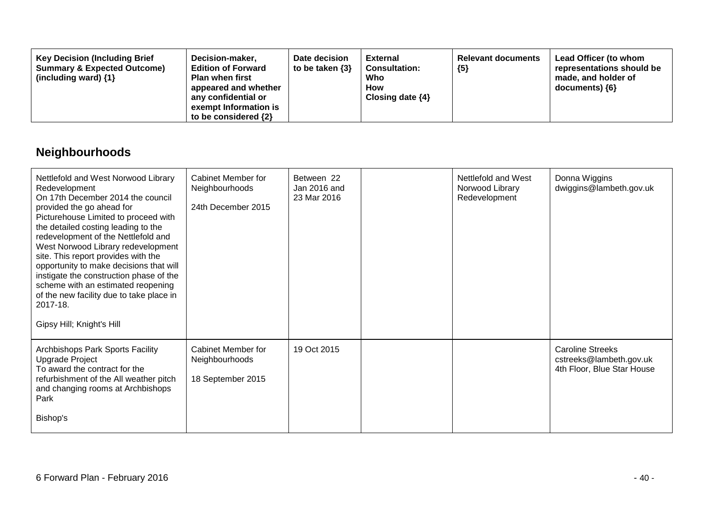| Decision-maker,<br><b>Key Decision (Including Brief</b><br><b>Summary &amp; Expected Outcome)</b><br><b>Edition of Forward</b><br><b>Plan when first</b><br>(including ward) $\{1\}$<br>appeared and whether<br>any confidential or<br>exempt Information is<br>to be considered $\{2\}$ | Date decision<br>to be taken $\{3\}$ | <b>External</b><br><b>Consultation:</b><br>Who<br>How<br>Closing date $\{4\}$ | <b>Relevant documents</b><br>${5}$ | Lead Officer (to whom<br>representations should be<br>made, and holder of<br>documents) ${6}$ |
|------------------------------------------------------------------------------------------------------------------------------------------------------------------------------------------------------------------------------------------------------------------------------------------|--------------------------------------|-------------------------------------------------------------------------------|------------------------------------|-----------------------------------------------------------------------------------------------|
|------------------------------------------------------------------------------------------------------------------------------------------------------------------------------------------------------------------------------------------------------------------------------------------|--------------------------------------|-------------------------------------------------------------------------------|------------------------------------|-----------------------------------------------------------------------------------------------|

## **Neighbourhoods**

| Nettlefold and West Norwood Library<br>Redevelopment<br>On 17th December 2014 the council<br>provided the go ahead for<br>Picturehouse Limited to proceed with<br>the detailed costing leading to the<br>redevelopment of the Nettlefold and<br>West Norwood Library redevelopment<br>site. This report provides with the<br>opportunity to make decisions that will<br>instigate the construction phase of the<br>scheme with an estimated reopening<br>of the new facility due to take place in<br>2017-18.<br>Gipsy Hill; Knight's Hill | Cabinet Member for<br>Neighbourhoods<br>24th December 2015 | Between 22<br>Jan 2016 and<br>23 Mar 2016 | Nettlefold and West<br>Norwood Library<br>Redevelopment | Donna Wiggins<br>dwiggins@lambeth.gov.uk                                         |
|--------------------------------------------------------------------------------------------------------------------------------------------------------------------------------------------------------------------------------------------------------------------------------------------------------------------------------------------------------------------------------------------------------------------------------------------------------------------------------------------------------------------------------------------|------------------------------------------------------------|-------------------------------------------|---------------------------------------------------------|----------------------------------------------------------------------------------|
| Archbishops Park Sports Facility<br><b>Upgrade Project</b><br>To award the contract for the<br>refurbishment of the All weather pitch<br>and changing rooms at Archbishops<br>Park<br>Bishop's                                                                                                                                                                                                                                                                                                                                             | Cabinet Member for<br>Neighbourhoods<br>18 September 2015  | 19 Oct 2015                               |                                                         | <b>Caroline Streeks</b><br>cstreeks@lambeth.gov.uk<br>4th Floor, Blue Star House |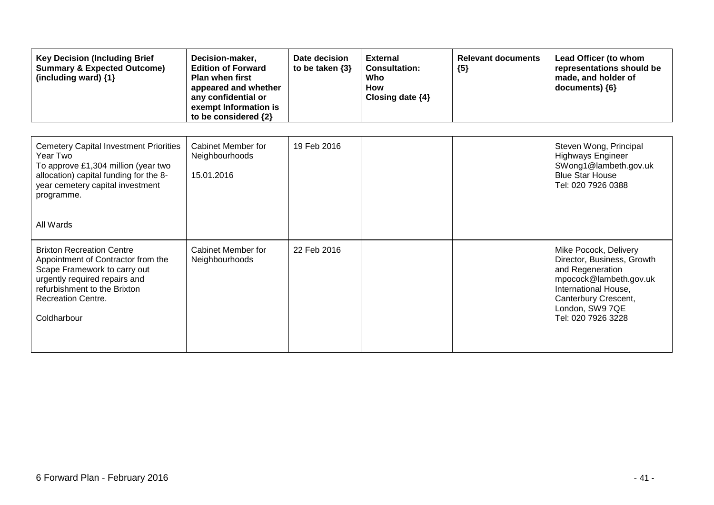| <b>Key Decision (Including Brief</b><br><b>Summary &amp; Expected Outcome)</b><br>(including ward) {1}                                                                                                              | Decision-maker,<br><b>Edition of Forward</b><br><b>Plan when first</b><br>appeared and whether<br>any confidential or<br>exempt Information is<br>to be considered {2} | Date decision<br>to be taken $\{3\}$ | <b>External</b><br><b>Consultation:</b><br>Who<br><b>How</b><br>Closing date {4} | <b>Relevant documents</b><br>${5}$ | Lead Officer (to whom<br>representations should be<br>made, and holder of<br>documents) {6}                                                                                                |
|---------------------------------------------------------------------------------------------------------------------------------------------------------------------------------------------------------------------|------------------------------------------------------------------------------------------------------------------------------------------------------------------------|--------------------------------------|----------------------------------------------------------------------------------|------------------------------------|--------------------------------------------------------------------------------------------------------------------------------------------------------------------------------------------|
| <b>Cemetery Capital Investment Priorities</b><br>Year Two<br>To approve £1,304 million (year two<br>allocation) capital funding for the 8-<br>year cemetery capital investment<br>programme.<br>All Wards           | Cabinet Member for<br>Neighbourhoods<br>15.01.2016                                                                                                                     | 19 Feb 2016                          |                                                                                  |                                    | Steven Wong, Principal<br><b>Highways Engineer</b><br>SWong1@lambeth.gov.uk<br><b>Blue Star House</b><br>Tel: 020 7926 0388                                                                |
| <b>Brixton Recreation Centre</b><br>Appointment of Contractor from the<br>Scape Framework to carry out<br>urgently required repairs and<br>refurbishment to the Brixton<br><b>Recreation Centre.</b><br>Coldharbour | Cabinet Member for<br>Neighbourhoods                                                                                                                                   | 22 Feb 2016                          |                                                                                  |                                    | Mike Pocock, Delivery<br>Director, Business, Growth<br>and Regeneration<br>mpocock@lambeth.gov.uk<br>International House,<br>Canterbury Crescent,<br>London, SW9 7QE<br>Tel: 020 7926 3228 |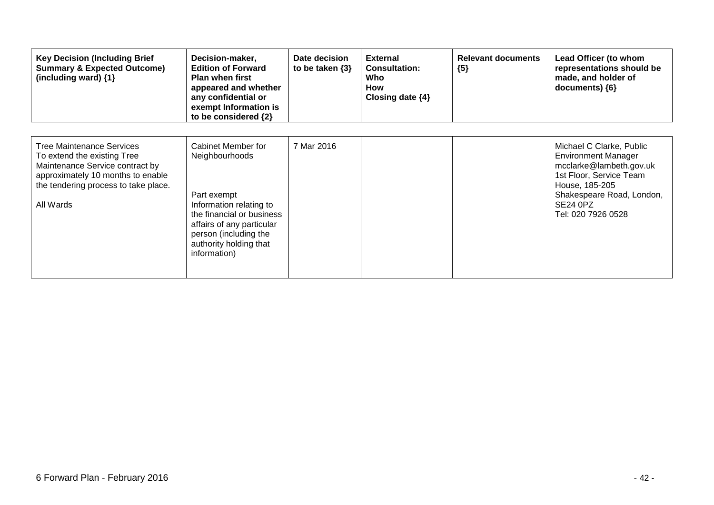| <b>Key Decision (Including Brief</b><br><b>Summary &amp; Expected Outcome)</b><br>(including ward) {1}                                                                                       | Decision-maker,<br><b>Edition of Forward</b><br><b>Plan when first</b><br>appeared and whether<br>any confidential or<br>exempt Information is<br>to be considered {2}                                      | Date decision<br>to be taken $\{3\}$ | <b>External</b><br><b>Consultation:</b><br>Who<br>How<br>Closing date $\{4\}$ | <b>Relevant documents</b><br>${5}$ | Lead Officer (to whom<br>representations should be<br>made, and holder of<br>documents) {6}                                                                                                          |
|----------------------------------------------------------------------------------------------------------------------------------------------------------------------------------------------|-------------------------------------------------------------------------------------------------------------------------------------------------------------------------------------------------------------|--------------------------------------|-------------------------------------------------------------------------------|------------------------------------|------------------------------------------------------------------------------------------------------------------------------------------------------------------------------------------------------|
| <b>Tree Maintenance Services</b><br>To extend the existing Tree<br>Maintenance Service contract by<br>approximately 10 months to enable<br>the tendering process to take place.<br>All Wards | Cabinet Member for<br>Neighbourhoods<br>Part exempt<br>Information relating to<br>the financial or business<br>affairs of any particular<br>person (including the<br>authority holding that<br>information) | 7 Mar 2016                           |                                                                               |                                    | Michael C Clarke, Public<br><b>Environment Manager</b><br>mcclarke@lambeth.gov.uk<br>1st Floor, Service Team<br>House, 185-205<br>Shakespeare Road, London,<br><b>SE24 0PZ</b><br>Tel: 020 7926 0528 |